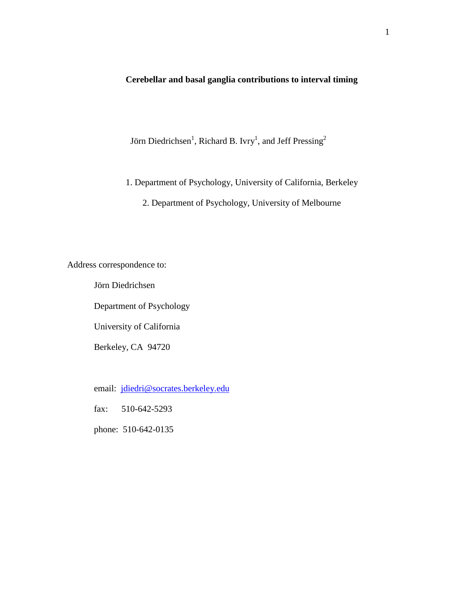# **Cerebellar and basal ganglia contributions to interval timing**

Jörn Diedrichsen<sup>1</sup>, Richard B. Ivry<sup>1</sup>, and Jeff Pressing<sup>2</sup>

1. Department of Psychology, University of California, Berkeley

2. Department of Psychology, University of Melbourne

Address correspondence to:

Jörn Diedrichsen

Department of Psychology

University of California

Berkeley, CA 94720

email: jdiedri@socrates.berkeley.edu

fax: 510-642-5293

phone: 510-642-0135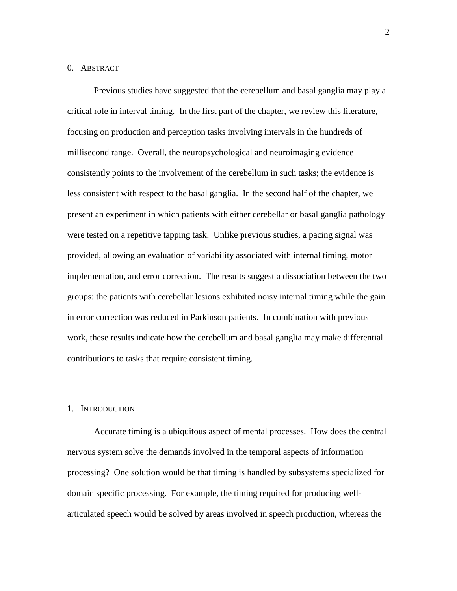# 0. ABSTRACT

Previous studies have suggested that the cerebellum and basal ganglia may play a critical role in interval timing. In the first part of the chapter, we review this literature, focusing on production and perception tasks involving intervals in the hundreds of millisecond range. Overall, the neuropsychological and neuroimaging evidence consistently points to the involvement of the cerebellum in such tasks; the evidence is less consistent with respect to the basal ganglia. In the second half of the chapter, we present an experiment in which patients with either cerebellar or basal ganglia pathology were tested on a repetitive tapping task. Unlike previous studies, a pacing signal was provided, allowing an evaluation of variability associated with internal timing, motor implementation, and error correction. The results suggest a dissociation between the two groups: the patients with cerebellar lesions exhibited noisy internal timing while the gain in error correction was reduced in Parkinson patients. In combination with previous work, these results indicate how the cerebellum and basal ganglia may make differential contributions to tasks that require consistent timing.

# 1. INTRODUCTION

Accurate timing is a ubiquitous aspect of mental processes. How does the central nervous system solve the demands involved in the temporal aspects of information processing? One solution would be that timing is handled by subsystems specialized for domain specific processing. For example, the timing required for producing wellarticulated speech would be solved by areas involved in speech production, whereas the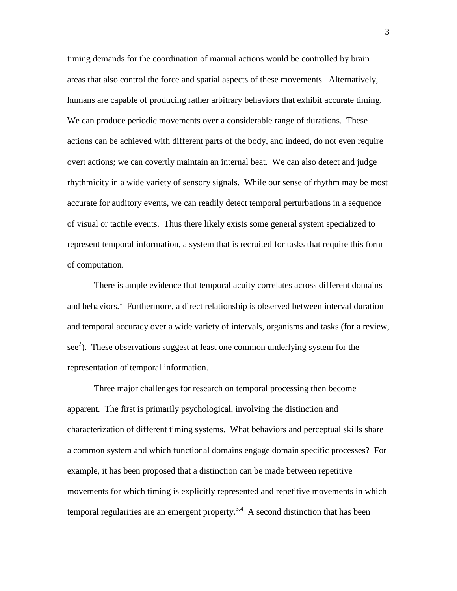timing demands for the coordination of manual actions would be controlled by brain areas that also control the force and spatial aspects of these movements. Alternatively, humans are capable of producing rather arbitrary behaviors that exhibit accurate timing. We can produce periodic movements over a considerable range of durations. These actions can be achieved with different parts of the body, and indeed, do not even require overt actions; we can covertly maintain an internal beat. We can also detect and judge rhythmicity in a wide variety of sensory signals. While our sense of rhythm may be most accurate for auditory events, we can readily detect temporal perturbations in a sequence of visual or tactile events. Thus there likely exists some general system specialized to represent temporal information, a system that is recruited for tasks that require this form of computation.

There is ample evidence that temporal acuity correlates across different domains and behaviors.<sup>1</sup> Furthermore, a direct relationship is observed between interval duration and temporal accuracy over a wide variety of intervals, organisms and tasks (for a review, see<sup>2</sup>). These observations suggest at least one common underlying system for the representation of temporal information.

Three major challenges for research on temporal processing then become apparent. The first is primarily psychological, involving the distinction and characterization of different timing systems. What behaviors and perceptual skills share a common system and which functional domains engage domain specific processes? For example, it has been proposed that a distinction can be made between repetitive movements for which timing is explicitly represented and repetitive movements in which temporal regularities are an emergent property.<sup>3,4</sup> A second distinction that has been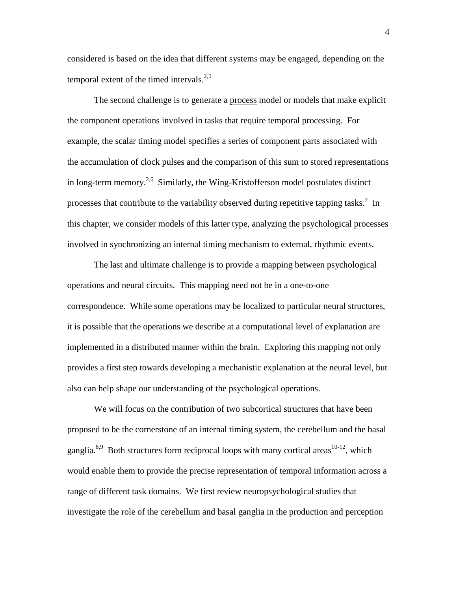considered is based on the idea that different systems may be engaged, depending on the temporal extent of the timed intervals.<sup>2,5</sup>

The second challenge is to generate a process model or models that make explicit the component operations involved in tasks that require temporal processing. For example, the scalar timing model specifies a series of component parts associated with the accumulation of clock pulses and the comparison of this sum to stored representations in long-term memory.<sup>2,6</sup> Similarly, the Wing-Kristofferson model postulates distinct processes that contribute to the variability observed during repetitive tapping tasks.<sup>7</sup> In this chapter, we consider models of this latter type, analyzing the psychological processes involved in synchronizing an internal timing mechanism to external, rhythmic events.

The last and ultimate challenge is to provide a mapping between psychological operations and neural circuits. This mapping need not be in a one-to-one correspondence. While some operations may be localized to particular neural structures, it is possible that the operations we describe at a computational level of explanation are implemented in a distributed manner within the brain. Exploring this mapping not only provides a first step towards developing a mechanistic explanation at the neural level, but also can help shape our understanding of the psychological operations.

We will focus on the contribution of two subcortical structures that have been proposed to be the cornerstone of an internal timing system, the cerebellum and the basal ganglia.<sup>8,9</sup> Both structures form reciprocal loops with many cortical areas<sup>10-12</sup>, which would enable them to provide the precise representation of temporal information across a range of different task domains. We first review neuropsychological studies that investigate the role of the cerebellum and basal ganglia in the production and perception

4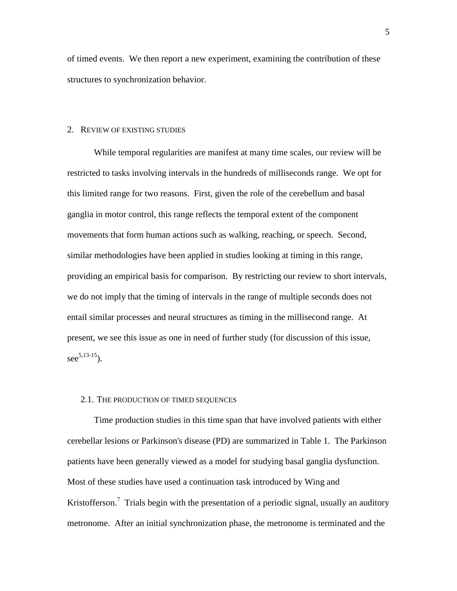of timed events. We then report a new experiment, examining the contribution of these structures to synchronization behavior.

#### 2. REVIEW OF EXISTING STUDIES

While temporal regularities are manifest at many time scales, our review will be restricted to tasks involving intervals in the hundreds of milliseconds range. We opt for this limited range for two reasons. First, given the role of the cerebellum and basal ganglia in motor control, this range reflects the temporal extent of the component movements that form human actions such as walking, reaching, or speech. Second, similar methodologies have been applied in studies looking at timing in this range, providing an empirical basis for comparison. By restricting our review to short intervals, we do not imply that the timing of intervals in the range of multiple seconds does not entail similar processes and neural structures as timing in the millisecond range. At present, we see this issue as one in need of further study (for discussion of this issue, see<sup>5,13-15</sup>).

# 2.1. THE PRODUCTION OF TIMED SEQUENCES

Time production studies in this time span that have involved patients with either cerebellar lesions or Parkinson's disease (PD) are summarized in Table 1. The Parkinson patients have been generally viewed as a model for studying basal ganglia dysfunction. Most of these studies have used a continuation task introduced by Wing and Kristofferson.<sup>7</sup> Trials begin with the presentation of a periodic signal, usually an auditory metronome. After an initial synchronization phase, the metronome is terminated and the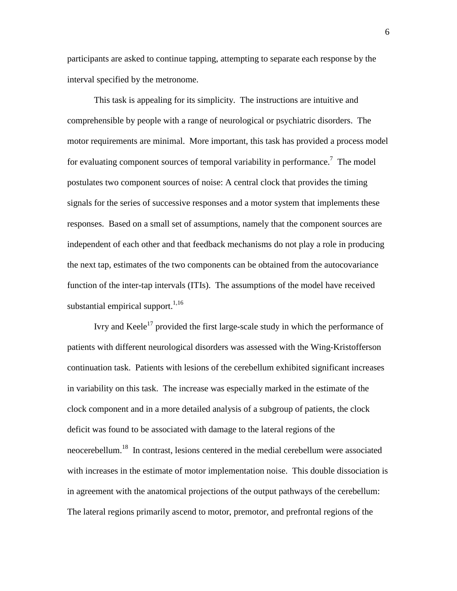participants are asked to continue tapping, attempting to separate each response by the interval specified by the metronome.

This task is appealing for its simplicity. The instructions are intuitive and comprehensible by people with a range of neurological or psychiatric disorders. The motor requirements are minimal. More important, this task has provided a process model for evaluating component sources of temporal variability in performance.<sup>7</sup> The model postulates two component sources of noise: A central clock that provides the timing signals for the series of successive responses and a motor system that implements these responses. Based on a small set of assumptions, namely that the component sources are independent of each other and that feedback mechanisms do not play a role in producing the next tap, estimates of the two components can be obtained from the autocovariance function of the inter-tap intervals (ITIs). The assumptions of the model have received substantial empirical support.<sup>1,16</sup>

Ivry and Keele<sup>17</sup> provided the first large-scale study in which the performance of patients with different neurological disorders was assessed with the Wing-Kristofferson continuation task. Patients with lesions of the cerebellum exhibited significant increases in variability on this task. The increase was especially marked in the estimate of the clock component and in a more detailed analysis of a subgroup of patients, the clock deficit was found to be associated with damage to the lateral regions of the neocerebellum.<sup>18</sup> In contrast, lesions centered in the medial cerebellum were associated with increases in the estimate of motor implementation noise. This double dissociation is in agreement with the anatomical projections of the output pathways of the cerebellum: The lateral regions primarily ascend to motor, premotor, and prefrontal regions of the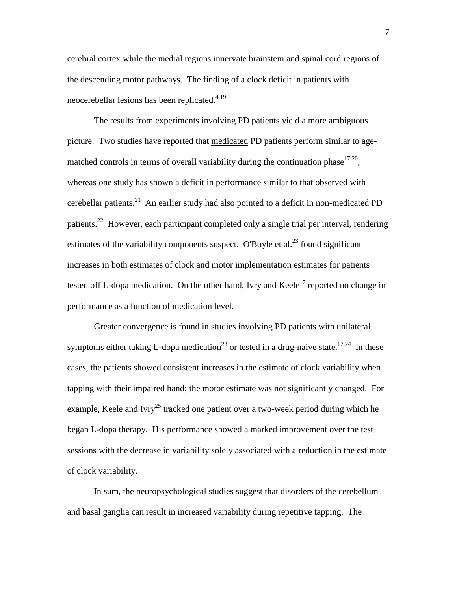cerebral cortex while the medial regions innervate brainstem and spinal cord regions of the descending motor pathways. The finding of a clock deficit in patients with neocerebellar lesions has been replicated. $4,19$ 

The results from experiments involving PD patients yield a more ambiguous picture. Two studies have reported that medicated PD patients perform similar to agematched controls in terms of overall variability during the continuation phase  $17,20$ , whereas one study has shown a deficit in performance similar to that observed with cerebellar patients.<sup>21</sup> An earlier study had also pointed to a deficit in non-medicated PD patients.<sup>22</sup> However, each participant completed only a single trial per interval, rendering estimates of the variability components suspect. O'Boyle et al.<sup>23</sup> found significant increases in both estimates of clock and motor implementation estimates for patients tested off L-dopa medication. On the other hand, Ivry and Keele<sup>17</sup> reported no change in performance as a function of medication level.

Greater convergence is found in studies involving PD patients with unilateral symptoms either taking L-dopa medication<sup>23</sup> or tested in a drug-naive state.<sup>17,24</sup> In these cases, the patients showed consistent increases in the estimate of clock variability when tapping with their impaired hand; the motor estimate was not significantly changed. For example, Keele and Ivry<sup>25</sup> tracked one patient over a two-week period during which he began L-dopa therapy. His performance showed a marked improvement over the test sessions with the decrease in variability solely associated with a reduction in the estimate of clock variability.

In sum, the neuropsychological studies suggest that disorders of the cerebellum and basal ganglia can result in increased variability during repetitive tapping. The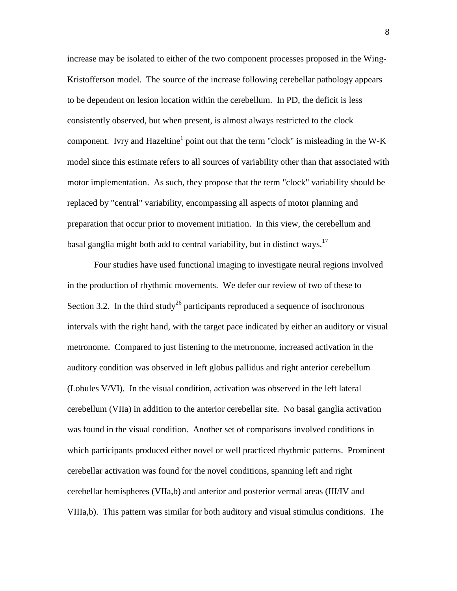increase may be isolated to either of the two component processes proposed in the Wing-Kristofferson model. The source of the increase following cerebellar pathology appears to be dependent on lesion location within the cerebellum. In PD, the deficit is less consistently observed, but when present, is almost always restricted to the clock component. Ivry and Hazeltine<sup>1</sup> point out that the term "clock" is misleading in the W-K model since this estimate refers to all sources of variability other than that associated with motor implementation. As such, they propose that the term "clock" variability should be replaced by "central" variability, encompassing all aspects of motor planning and preparation that occur prior to movement initiation. In this view, the cerebellum and basal ganglia might both add to central variability, but in distinct ways.<sup>17</sup>

Four studies have used functional imaging to investigate neural regions involved in the production of rhythmic movements. We defer our review of two of these to Section 3.2. In the third study<sup>26</sup> participants reproduced a sequence of isochronous intervals with the right hand, with the target pace indicated by either an auditory or visual metronome. Compared to just listening to the metronome, increased activation in the auditory condition was observed in left globus pallidus and right anterior cerebellum (Lobules V/VI). In the visual condition, activation was observed in the left lateral cerebellum (VIIa) in addition to the anterior cerebellar site. No basal ganglia activation was found in the visual condition. Another set of comparisons involved conditions in which participants produced either novel or well practiced rhythmic patterns. Prominent cerebellar activation was found for the novel conditions, spanning left and right cerebellar hemispheres (VIIa,b) and anterior and posterior vermal areas (III/IV and VIIIa,b). This pattern was similar for both auditory and visual stimulus conditions. The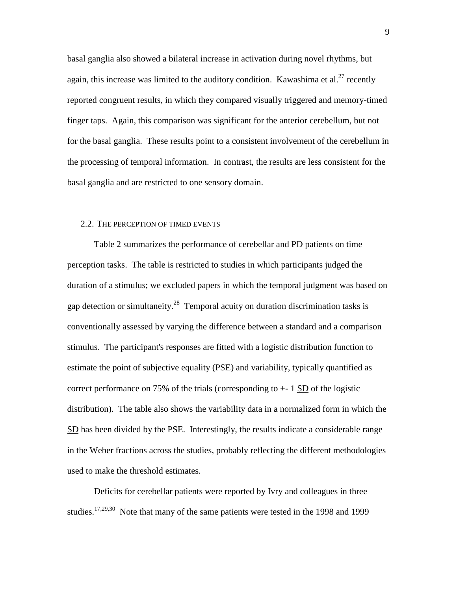basal ganglia also showed a bilateral increase in activation during novel rhythms, but again, this increase was limited to the auditory condition. Kawashima et al.<sup>27</sup> recently reported congruent results, in which they compared visually triggered and memory-timed finger taps. Again, this comparison was significant for the anterior cerebellum, but not for the basal ganglia. These results point to a consistent involvement of the cerebellum in the processing of temporal information. In contrast, the results are less consistent for the basal ganglia and are restricted to one sensory domain.

## 2.2. THE PERCEPTION OF TIMED EVENTS

Table 2 summarizes the performance of cerebellar and PD patients on time perception tasks. The table is restricted to studies in which participants judged the duration of a stimulus; we excluded papers in which the temporal judgment was based on gap detection or simultaneity.<sup>28</sup> Temporal acuity on duration discrimination tasks is conventionally assessed by varying the difference between a standard and a comparison stimulus. The participant's responses are fitted with a logistic distribution function to estimate the point of subjective equality (PSE) and variability, typically quantified as correct performance on 75% of the trials (corresponding to +- 1 SD of the logistic distribution). The table also shows the variability data in a normalized form in which the SD has been divided by the PSE. Interestingly, the results indicate a considerable range in the Weber fractions across the studies, probably reflecting the different methodologies used to make the threshold estimates.

Deficits for cerebellar patients were reported by Ivry and colleagues in three studies.<sup>17,29,30</sup> Note that many of the same patients were tested in the 1998 and 1999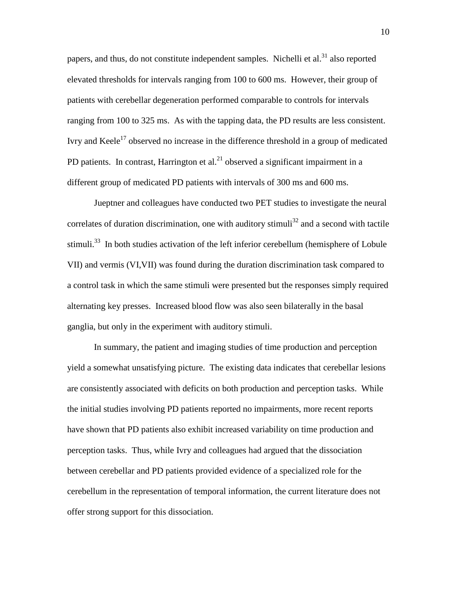papers, and thus, do not constitute independent samples. Nichelli et al.<sup>31</sup> also reported elevated thresholds for intervals ranging from 100 to 600 ms. However, their group of patients with cerebellar degeneration performed comparable to controls for intervals ranging from 100 to 325 ms. As with the tapping data, the PD results are less consistent. Ivry and Keele<sup>17</sup> observed no increase in the difference threshold in a group of medicated PD patients. In contrast, Harrington et al. $^{21}$  observed a significant impairment in a different group of medicated PD patients with intervals of 300 ms and 600 ms.

Jueptner and colleagues have conducted two PET studies to investigate the neural correlates of duration discrimination, one with auditory stimuli<sup>32</sup> and a second with tactile stimuli.<sup>33</sup> In both studies activation of the left inferior cerebellum (hemisphere of Lobule VII) and vermis (VI,VII) was found during the duration discrimination task compared to a control task in which the same stimuli were presented but the responses simply required alternating key presses. Increased blood flow was also seen bilaterally in the basal ganglia, but only in the experiment with auditory stimuli.

In summary, the patient and imaging studies of time production and perception yield a somewhat unsatisfying picture. The existing data indicates that cerebellar lesions are consistently associated with deficits on both production and perception tasks. While the initial studies involving PD patients reported no impairments, more recent reports have shown that PD patients also exhibit increased variability on time production and perception tasks. Thus, while Ivry and colleagues had argued that the dissociation between cerebellar and PD patients provided evidence of a specialized role for the cerebellum in the representation of temporal information, the current literature does not offer strong support for this dissociation.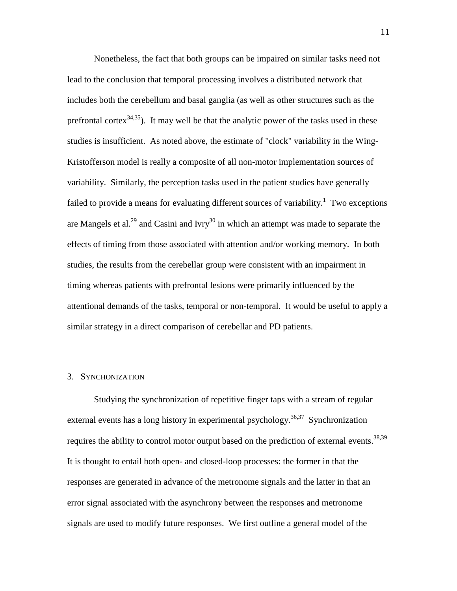Nonetheless, the fact that both groups can be impaired on similar tasks need not lead to the conclusion that temporal processing involves a distributed network that includes both the cerebellum and basal ganglia (as well as other structures such as the prefrontal cortex<sup>34,35</sup>). It may well be that the analytic power of the tasks used in these studies is insufficient. As noted above, the estimate of "clock" variability in the Wing-Kristofferson model is really a composite of all non-motor implementation sources of variability. Similarly, the perception tasks used in the patient studies have generally failed to provide a means for evaluating different sources of variability.<sup>1</sup> Two exceptions are Mangels et al.<sup>29</sup> and Casini and Ivry<sup>30</sup> in which an attempt was made to separate the effects of timing from those associated with attention and/or working memory. In both studies, the results from the cerebellar group were consistent with an impairment in timing whereas patients with prefrontal lesions were primarily influenced by the attentional demands of the tasks, temporal or non-temporal. It would be useful to apply a similar strategy in a direct comparison of cerebellar and PD patients.

#### 3. SYNCHONIZATION

Studying the synchronization of repetitive finger taps with a stream of regular external events has a long history in experimental psychology.<sup>36,37</sup> Synchronization requires the ability to control motor output based on the prediction of external events.<sup>38,39</sup> It is thought to entail both open- and closed-loop processes: the former in that the responses are generated in advance of the metronome signals and the latter in that an error signal associated with the asynchrony between the responses and metronome signals are used to modify future responses. We first outline a general model of the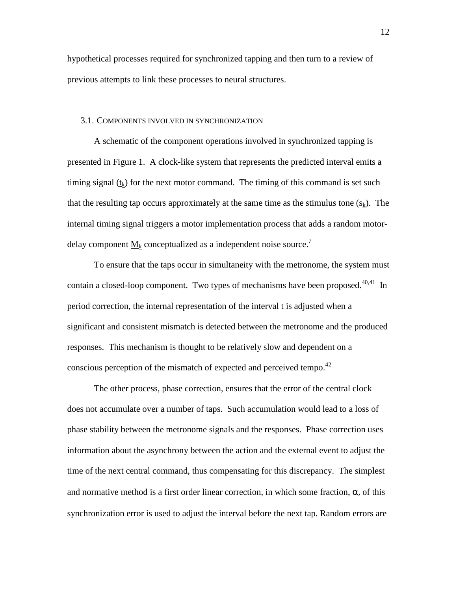hypothetical processes required for synchronized tapping and then turn to a review of previous attempts to link these processes to neural structures.

## 3.1. COMPONENTS INVOLVED IN SYNCHRONIZATION

A schematic of the component operations involved in synchronized tapping is presented in Figure 1. A clock-like system that represents the predicted interval emits a timing signal  $(t_k)$  for the next motor command. The timing of this command is set such that the resulting tap occurs approximately at the same time as the stimulus tone  $(s_k)$ . The internal timing signal triggers a motor implementation process that adds a random motordelay component  $\underline{\mathbf{M}}_{\underline{k}}$  conceptualized as a independent noise source.<sup>7</sup>

To ensure that the taps occur in simultaneity with the metronome, the system must contain a closed-loop component. Two types of mechanisms have been proposed. $^{40,41}$  In period correction, the internal representation of the interval t is adjusted when a significant and consistent mismatch is detected between the metronome and the produced responses. This mechanism is thought to be relatively slow and dependent on a conscious perception of the mismatch of expected and perceived tempo.<sup>42</sup>

The other process, phase correction, ensures that the error of the central clock does not accumulate over a number of taps. Such accumulation would lead to a loss of phase stability between the metronome signals and the responses. Phase correction uses information about the asynchrony between the action and the external event to adjust the time of the next central command, thus compensating for this discrepancy. The simplest and normative method is a first order linear correction, in which some fraction,  $\alpha$ , of this synchronization error is used to adjust the interval before the next tap. Random errors are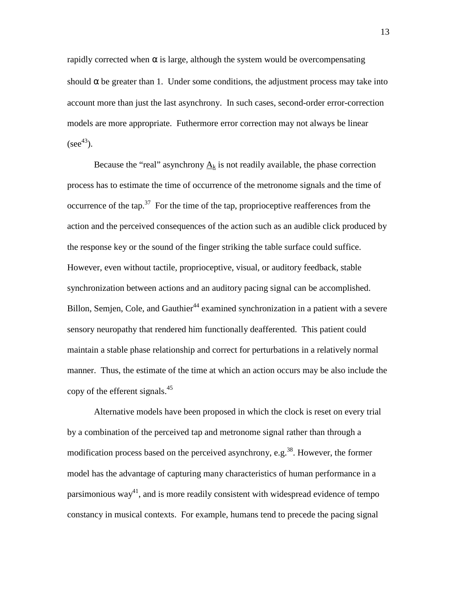rapidly corrected when  $\alpha$  is large, although the system would be overcompensating should  $\alpha$  be greater than 1. Under some conditions, the adjustment process may take into account more than just the last asynchrony. In such cases, second-order error-correction models are more appropriate. Futhermore error correction may not always be linear  $(see<sup>43</sup>)$ .

Because the "real" asynchrony  $A_k$  is not readily available, the phase correction process has to estimate the time of occurrence of the metronome signals and the time of occurrence of the tap.<sup>37</sup> For the time of the tap, proprioceptive reafferences from the action and the perceived consequences of the action such as an audible click produced by the response key or the sound of the finger striking the table surface could suffice. However, even without tactile, proprioceptive, visual, or auditory feedback, stable synchronization between actions and an auditory pacing signal can be accomplished. Billon, Semjen, Cole, and Gauthier<sup>44</sup> examined synchronization in a patient with a severe sensory neuropathy that rendered him functionally deafferented. This patient could maintain a stable phase relationship and correct for perturbations in a relatively normal manner. Thus, the estimate of the time at which an action occurs may be also include the copy of the efferent signals. 45

Alternative models have been proposed in which the clock is reset on every trial by a combination of the perceived tap and metronome signal rather than through a modification process based on the perceived asynchrony, e.g.<sup>38</sup>. However, the former model has the advantage of capturing many characteristics of human performance in a parsimonious way<sup>41</sup>, and is more readily consistent with widespread evidence of tempo constancy in musical contexts. For example, humans tend to precede the pacing signal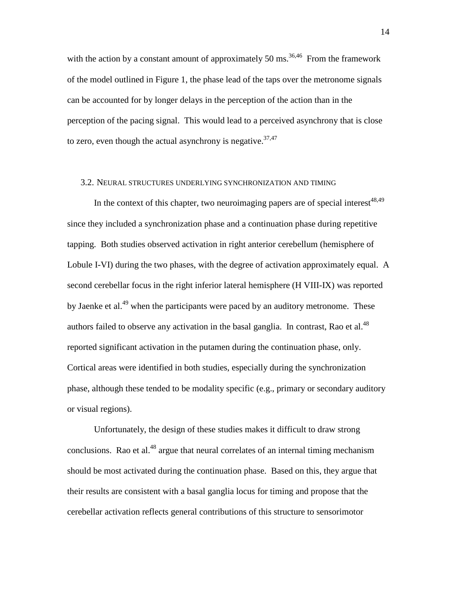with the action by a constant amount of approximately 50 ms.<sup>36,46</sup> From the framework of the model outlined in Figure 1, the phase lead of the taps over the metronome signals can be accounted for by longer delays in the perception of the action than in the perception of the pacing signal. This would lead to a perceived asynchrony that is close to zero, even though the actual asynchrony is negative.<sup>37,47</sup>

#### 3.2. NEURAL STRUCTURES UNDERLYING SYNCHRONIZATION AND TIMING

In the context of this chapter, two neuroimaging papers are of special interest<sup>48,49</sup> since they included a synchronization phase and a continuation phase during repetitive tapping. Both studies observed activation in right anterior cerebellum (hemisphere of Lobule I-VI) during the two phases, with the degree of activation approximately equal. A second cerebellar focus in the right inferior lateral hemisphere (H VIII-IX) was reported by Jaenke et al.<sup>49</sup> when the participants were paced by an auditory metronome. These authors failed to observe any activation in the basal ganglia. In contrast, Rao et al.<sup>48</sup> reported significant activation in the putamen during the continuation phase, only. Cortical areas were identified in both studies, especially during the synchronization phase, although these tended to be modality specific (e.g., primary or secondary auditory or visual regions).

Unfortunately, the design of these studies makes it difficult to draw strong conclusions. Rao et al.<sup>48</sup> argue that neural correlates of an internal timing mechanism should be most activated during the continuation phase. Based on this, they argue that their results are consistent with a basal ganglia locus for timing and propose that the cerebellar activation reflects general contributions of this structure to sensorimotor

14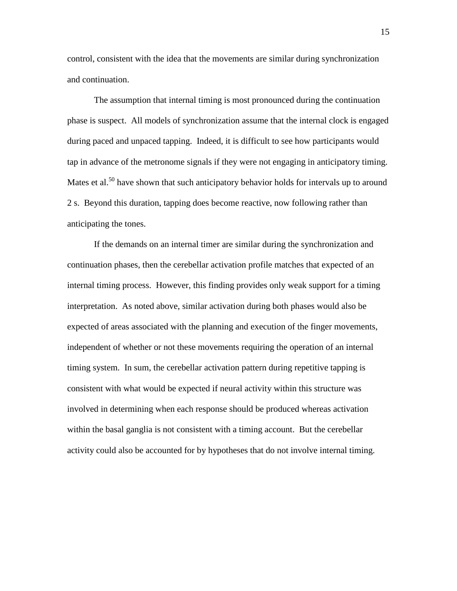control, consistent with the idea that the movements are similar during synchronization and continuation.

The assumption that internal timing is most pronounced during the continuation phase is suspect. All models of synchronization assume that the internal clock is engaged during paced and unpaced tapping. Indeed, it is difficult to see how participants would tap in advance of the metronome signals if they were not engaging in anticipatory timing. Mates et al.<sup>50</sup> have shown that such anticipatory behavior holds for intervals up to around 2 s. Beyond this duration, tapping does become reactive, now following rather than anticipating the tones.

If the demands on an internal timer are similar during the synchronization and continuation phases, then the cerebellar activation profile matches that expected of an internal timing process. However, this finding provides only weak support for a timing interpretation. As noted above, similar activation during both phases would also be expected of areas associated with the planning and execution of the finger movements, independent of whether or not these movements requiring the operation of an internal timing system. In sum, the cerebellar activation pattern during repetitive tapping is consistent with what would be expected if neural activity within this structure was involved in determining when each response should be produced whereas activation within the basal ganglia is not consistent with a timing account. But the cerebellar activity could also be accounted for by hypotheses that do not involve internal timing.

15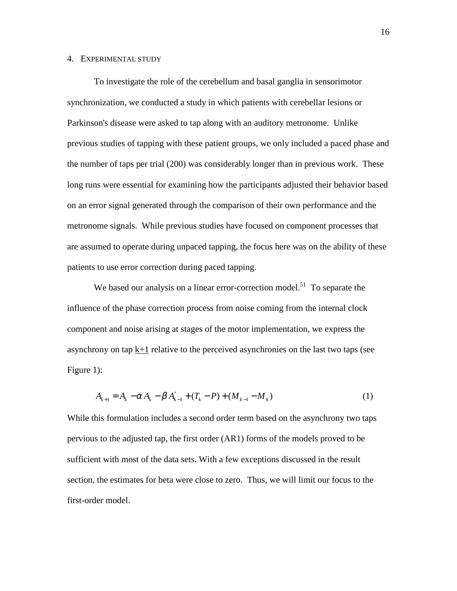### 4. EXPERIMENTAL STUDY

To investigate the role of the cerebellum and basal ganglia in sensorimotor synchronization, we conducted a study in which patients with cerebellar lesions or Parkinson's disease were asked to tap along with an auditory metronome. Unlike previous studies of tapping with these patient groups, we only included a paced phase and the number of taps per trial (200) was considerably longer than in previous work. These long runs were essential for examining how the participants adjusted their behavior based on an error signal generated through the comparison of their own performance and the metronome signals. While previous studies have focused on component processes that are assumed to operate during unpaced tapping, the focus here was on the ability of these patients to use error correction during paced tapping.

We based our analysis on a linear error-correction model.<sup>51</sup> To separate the influence of the phase correction process from noise coming from the internal clock component and noise arising at stages of the motor implementation, we express the asynchrony on tap k+1 relative to the perceived asynchronies on the last two taps (see Figure 1):

$$
A_{k+1} = A_k - \alpha A_k - \beta A'_{k-1} + (T_k - P) + (M_{k-1} - M_k)
$$
\n(1)

While this formulation includes a second order term based on the asynchrony two taps pervious to the adjusted tap, the first order (AR1) forms of the models proved to be sufficient with most of the data sets. With a few exceptions discussed in the result section, the estimates for beta were close to zero. Thus, we will limit our focus to the first-order model.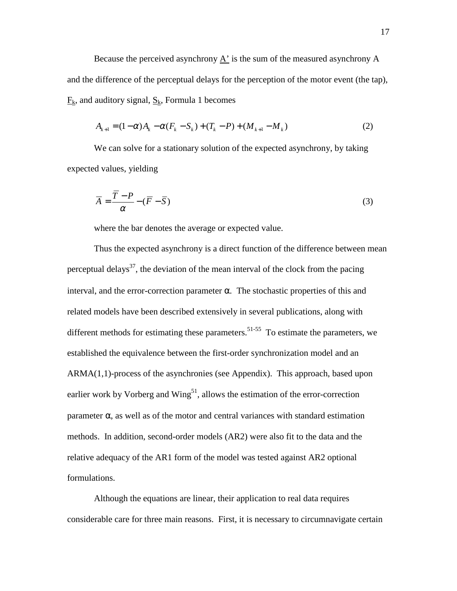Because the perceived asynchrony A' is the sum of the measured asynchrony A and the difference of the perceptual delays for the perception of the motor event (the tap),  $\underline{F_k}$ , and auditory signal,  $\underline{S_k}$ , Formula 1 becomes

$$
A_{k+1} = (1 - \alpha)A_k - \alpha (F_k - S_k) + (T_k - P) + (M_{k+1} - M_k)
$$
\n(2)

We can solve for a stationary solution of the expected asynchrony, by taking expected values, yielding

$$
\overline{A} = \frac{T - P}{\alpha} - (\overline{F} - \overline{S})
$$
\n(3)

where the bar denotes the average or expected value.

Thus the expected asynchrony is a direct function of the difference between mean perceptual delays<sup>37</sup>, the deviation of the mean interval of the clock from the pacing interval, and the error-correction parameter  $\alpha$ . The stochastic properties of this and related models have been described extensively in several publications, along with different methods for estimating these parameters.<sup>51-55</sup> To estimate the parameters, we established the equivalence between the first-order synchronization model and an ARMA(1,1)-process of the asynchronies (see Appendix). This approach, based upon earlier work by Vorberg and Wing<sup>51</sup>, allows the estimation of the error-correction parameter  $\alpha$ , as well as of the motor and central variances with standard estimation methods. In addition, second-order models (AR2) were also fit to the data and the relative adequacy of the AR1 form of the model was tested against AR2 optional formulations.

Although the equations are linear, their application to real data requires considerable care for three main reasons. First, it is necessary to circumnavigate certain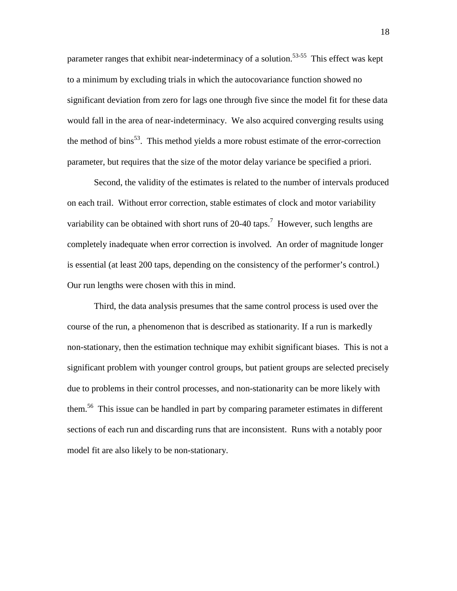parameter ranges that exhibit near-indeterminacy of a solution.<sup>53-55</sup> This effect was kept to a minimum by excluding trials in which the autocovariance function showed no significant deviation from zero for lags one through five since the model fit for these data would fall in the area of near-indeterminacy. We also acquired converging results using the method of bins<sup>53</sup>. This method yields a more robust estimate of the error-correction parameter, but requires that the size of the motor delay variance be specified a priori.

Second, the validity of the estimates is related to the number of intervals produced on each trail. Without error correction, stable estimates of clock and motor variability variability can be obtained with short runs of 20-40 taps.<sup>7</sup> However, such lengths are completely inadequate when error correction is involved. An order of magnitude longer is essential (at least 200 taps, depending on the consistency of the performer's control.) Our run lengths were chosen with this in mind.

Third, the data analysis presumes that the same control process is used over the course of the run, a phenomenon that is described as stationarity. If a run is markedly non-stationary, then the estimation technique may exhibit significant biases. This is not a significant problem with younger control groups, but patient groups are selected precisely due to problems in their control processes, and non-stationarity can be more likely with them.<sup>56</sup> This issue can be handled in part by comparing parameter estimates in different sections of each run and discarding runs that are inconsistent. Runs with a notably poor model fit are also likely to be non-stationary.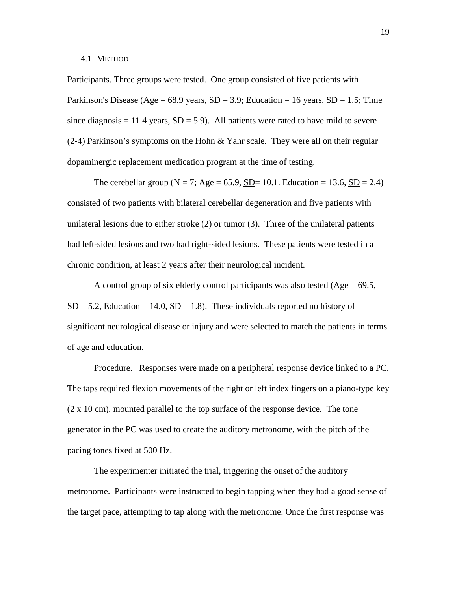#### 4.1. METHOD

Participants. Three groups were tested. One group consisted of five patients with Parkinson's Disease (Age = 68.9 years,  $SD = 3.9$ ; Education = 16 years,  $SD = 1.5$ ; Time since diagnosis  $= 11.4$  years,  $SD = 5.9$ ). All patients were rated to have mild to severe  $(2-4)$  Parkinson's symptoms on the Hohn & Yahr scale. They were all on their regular dopaminergic replacement medication program at the time of testing.

The cerebellar group ( $N = 7$ ; Age = 65.9, SD= 10.1. Education = 13.6, SD = 2.4) consisted of two patients with bilateral cerebellar degeneration and five patients with unilateral lesions due to either stroke  $(2)$  or tumor  $(3)$ . Three of the unilateral patients had left-sided lesions and two had right-sided lesions. These patients were tested in a chronic condition, at least 2 years after their neurological incident.

A control group of six elderly control participants was also tested (Age  $= 69.5$ ,  $SD = 5.2$ , Education = 14.0,  $SD = 1.8$ ). These individuals reported no history of significant neurological disease or injury and were selected to match the patients in terms of age and education.

Procedure. Responses were made on a peripheral response device linked to a PC. The taps required flexion movements of the right or left index fingers on a piano-type key (2 x 10 cm), mounted parallel to the top surface of the response device. The tone generator in the PC was used to create the auditory metronome, with the pitch of the pacing tones fixed at 500 Hz.

The experimenter initiated the trial, triggering the onset of the auditory metronome. Participants were instructed to begin tapping when they had a good sense of the target pace, attempting to tap along with the metronome. Once the first response was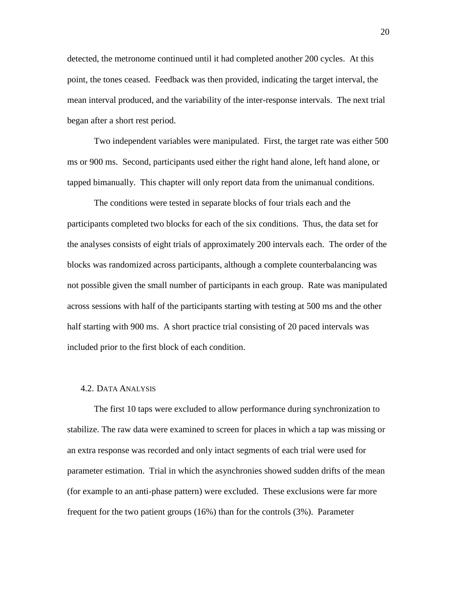detected, the metronome continued until it had completed another 200 cycles. At this point, the tones ceased. Feedback was then provided, indicating the target interval, the mean interval produced, and the variability of the inter-response intervals. The next trial began after a short rest period.

Two independent variables were manipulated. First, the target rate was either 500 ms or 900 ms. Second, participants used either the right hand alone, left hand alone, or tapped bimanually. This chapter will only report data from the unimanual conditions.

The conditions were tested in separate blocks of four trials each and the participants completed two blocks for each of the six conditions. Thus, the data set for the analyses consists of eight trials of approximately 200 intervals each. The order of the blocks was randomized across participants, although a complete counterbalancing was not possible given the small number of participants in each group. Rate was manipulated across sessions with half of the participants starting with testing at 500 ms and the other half starting with 900 ms. A short practice trial consisting of 20 paced intervals was included prior to the first block of each condition.

#### 4.2. DATA ANALYSIS

The first 10 taps were excluded to allow performance during synchronization to stabilize. The raw data were examined to screen for places in which a tap was missing or an extra response was recorded and only intact segments of each trial were used for parameter estimation. Trial in which the asynchronies showed sudden drifts of the mean (for example to an anti-phase pattern) were excluded. These exclusions were far more frequent for the two patient groups (16%) than for the controls (3%). Parameter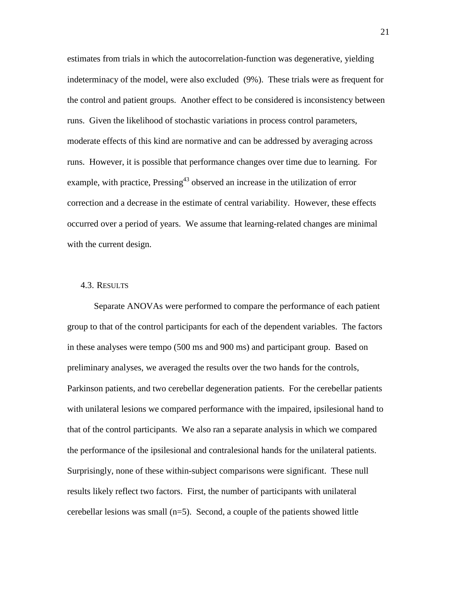estimates from trials in which the autocorrelation-function was degenerative, yielding indeterminacy of the model, were also excluded (9%). These trials were as frequent for the control and patient groups. Another effect to be considered is inconsistency between runs. Given the likelihood of stochastic variations in process control parameters, moderate effects of this kind are normative and can be addressed by averaging across runs. However, it is possible that performance changes over time due to learning. For example, with practice, Pressing<sup>43</sup> observed an increase in the utilization of error correction and a decrease in the estimate of central variability. However, these effects occurred over a period of years. We assume that learning-related changes are minimal with the current design.

### 4.3. RESULTS

Separate ANOVAs were performed to compare the performance of each patient group to that of the control participants for each of the dependent variables. The factors in these analyses were tempo (500 ms and 900 ms) and participant group. Based on preliminary analyses, we averaged the results over the two hands for the controls, Parkinson patients, and two cerebellar degeneration patients. For the cerebellar patients with unilateral lesions we compared performance with the impaired, ipsilesional hand to that of the control participants. We also ran a separate analysis in which we compared the performance of the ipsilesional and contralesional hands for the unilateral patients. Surprisingly, none of these within-subject comparisons were significant. These null results likely reflect two factors. First, the number of participants with unilateral cerebellar lesions was small  $(n=5)$ . Second, a couple of the patients showed little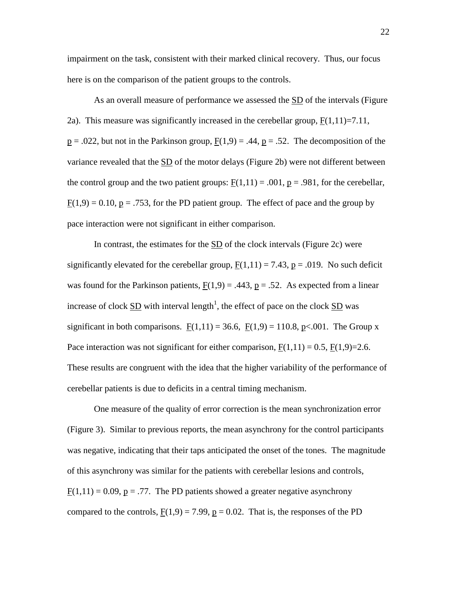impairment on the task, consistent with their marked clinical recovery. Thus, our focus here is on the comparison of the patient groups to the controls.

As an overall measure of performance we assessed the SD of the intervals (Figure 2a). This measure was significantly increased in the cerebellar group,  $F(1,11)=7.11$ ,  $p = .022$ , but not in the Parkinson group,  $F(1,9) = .44$ ,  $p = .52$ . The decomposition of the variance revealed that the SD of the motor delays (Figure 2b) were not different between the control group and the two patient groups:  $F(1,11) = .001$ ,  $p = .981$ , for the cerebellar,  $\underline{F}(1,9) = 0.10$ ,  $\underline{p} = .753$ , for the PD patient group. The effect of pace and the group by pace interaction were not significant in either comparison.

In contrast, the estimates for the SD of the clock intervals (Figure 2c) were significantly elevated for the cerebellar group,  $F(1,11) = 7.43$ ,  $p = .019$ . No such deficit was found for the Parkinson patients,  $F(1,9) = .443$ ,  $p = .52$ . As expected from a linear increase of clock  $\underline{SD}$  with interval length<sup>1</sup>, the effect of pace on the clock  $\underline{SD}$  was significant in both comparisons.  $F(1,11) = 36.6$ ,  $F(1,9) = 110.8$ ,  $p < .001$ . The Group x Pace interaction was not significant for either comparison,  $F(1,11) = 0.5$ ,  $F(1,9)=2.6$ . These results are congruent with the idea that the higher variability of the performance of cerebellar patients is due to deficits in a central timing mechanism.

One measure of the quality of error correction is the mean synchronization error (Figure 3). Similar to previous reports, the mean asynchrony for the control participants was negative, indicating that their taps anticipated the onset of the tones. The magnitude of this asynchrony was similar for the patients with cerebellar lesions and controls,  $F(1,11) = 0.09$ ,  $p = .77$ . The PD patients showed a greater negative asynchrony compared to the controls,  $F(1,9) = 7.99$ ,  $p = 0.02$ . That is, the responses of the PD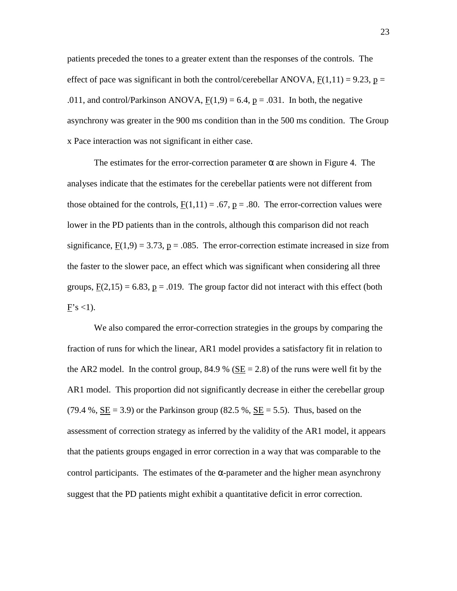patients preceded the tones to a greater extent than the responses of the controls. The effect of pace was significant in both the control/cerebellar ANOVA,  $F(1,11) = 9.23$ , p = .011, and control/Parkinson ANOVA,  $F(1,9) = 6.4$ ,  $p = .031$ . In both, the negative asynchrony was greater in the 900 ms condition than in the 500 ms condition. The Group x Pace interaction was not significant in either case.

The estimates for the error-correction parameter  $\alpha$  are shown in Figure 4. The analyses indicate that the estimates for the cerebellar patients were not different from those obtained for the controls,  $F(1,11) = .67$ ,  $p = .80$ . The error-correction values were lower in the PD patients than in the controls, although this comparison did not reach significance,  $F(1,9) = 3.73$ ,  $p = .085$ . The error-correction estimate increased in size from the faster to the slower pace, an effect which was significant when considering all three groups,  $F(2,15) = 6.83$ ,  $p = .019$ . The group factor did not interact with this effect (both  $F's < 1$ ).

We also compared the error-correction strategies in the groups by comparing the fraction of runs for which the linear, AR1 model provides a satisfactory fit in relation to the AR2 model. In the control group, 84.9 % ( $SE = 2.8$ ) of the runs were well fit by the AR1 model. This proportion did not significantly decrease in either the cerebellar group  $(79.4 \text{ %}, SE = 3.9)$  or the Parkinson group  $(82.5 \text{ %}, SE = 5.5)$ . Thus, based on the assessment of correction strategy as inferred by the validity of the AR1 model, it appears that the patients groups engaged in error correction in a way that was comparable to the control participants. The estimates of the  $\alpha$ -parameter and the higher mean asynchrony suggest that the PD patients might exhibit a quantitative deficit in error correction.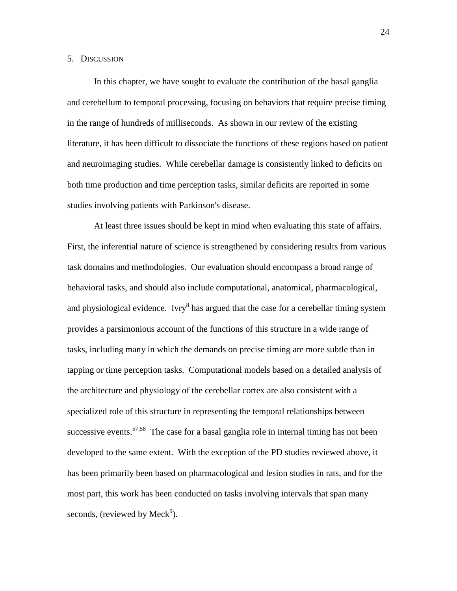### 5. DISCUSSION

In this chapter, we have sought to evaluate the contribution of the basal ganglia and cerebellum to temporal processing, focusing on behaviors that require precise timing in the range of hundreds of milliseconds. As shown in our review of the existing literature, it has been difficult to dissociate the functions of these regions based on patient and neuroimaging studies. While cerebellar damage is consistently linked to deficits on both time production and time perception tasks, similar deficits are reported in some studies involving patients with Parkinson's disease.

At least three issues should be kept in mind when evaluating this state of affairs. First, the inferential nature of science is strengthened by considering results from various task domains and methodologies. Our evaluation should encompass a broad range of behavioral tasks, and should also include computational, anatomical, pharmacological, and physiological evidence. Ivry<sup>8</sup> has argued that the case for a cerebellar timing system provides a parsimonious account of the functions of this structure in a wide range of tasks, including many in which the demands on precise timing are more subtle than in tapping or time perception tasks. Computational models based on a detailed analysis of the architecture and physiology of the cerebellar cortex are also consistent with a specialized role of this structure in representing the temporal relationships between successive events.<sup>57,58</sup> The case for a basal ganglia role in internal timing has not been developed to the same extent. With the exception of the PD studies reviewed above, it has been primarily been based on pharmacological and lesion studies in rats, and for the most part, this work has been conducted on tasks involving intervals that span many seconds, (reviewed by Meck<sup>9</sup>).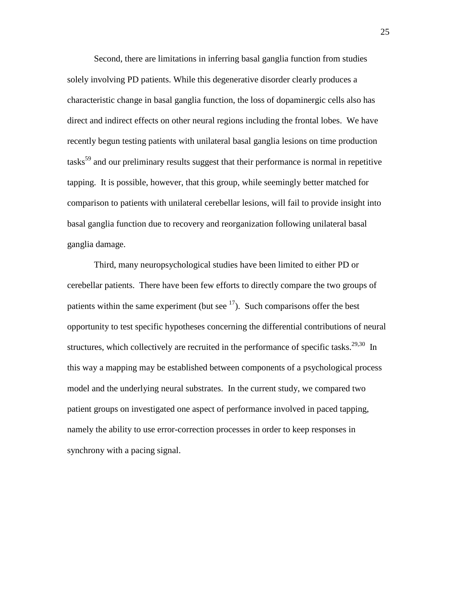Second, there are limitations in inferring basal ganglia function from studies solely involving PD patients. While this degenerative disorder clearly produces a characteristic change in basal ganglia function, the loss of dopaminergic cells also has direct and indirect effects on other neural regions including the frontal lobes. We have recently begun testing patients with unilateral basal ganglia lesions on time production tasks<sup>59</sup> and our preliminary results suggest that their performance is normal in repetitive tapping. It is possible, however, that this group, while seemingly better matched for comparison to patients with unilateral cerebellar lesions, will fail to provide insight into basal ganglia function due to recovery and reorganization following unilateral basal ganglia damage.

Third, many neuropsychological studies have been limited to either PD or cerebellar patients. There have been few efforts to directly compare the two groups of patients within the same experiment (but see  $17$ ). Such comparisons offer the best opportunity to test specific hypotheses concerning the differential contributions of neural structures, which collectively are recruited in the performance of specific tasks.<sup>29,30</sup> In this way a mapping may be established between components of a psychological process model and the underlying neural substrates. In the current study, we compared two patient groups on investigated one aspect of performance involved in paced tapping, namely the ability to use error-correction processes in order to keep responses in synchrony with a pacing signal.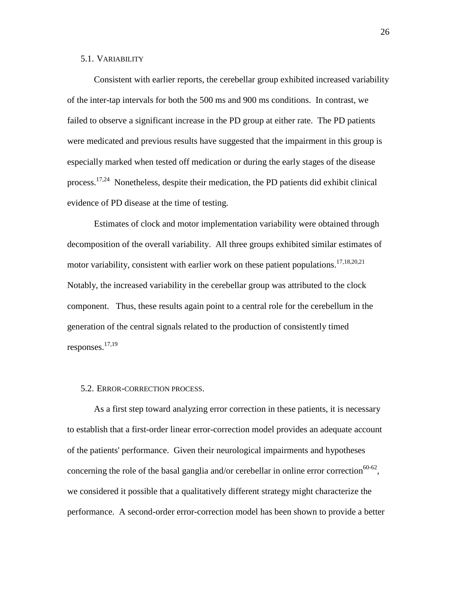### 5.1. VARIABILITY

Consistent with earlier reports, the cerebellar group exhibited increased variability of the inter-tap intervals for both the 500 ms and 900 ms conditions. In contrast, we failed to observe a significant increase in the PD group at either rate. The PD patients were medicated and previous results have suggested that the impairment in this group is especially marked when tested off medication or during the early stages of the disease process.<sup>17,24</sup> Nonetheless, despite their medication, the PD patients did exhibit clinical evidence of PD disease at the time of testing.

Estimates of clock and motor implementation variability were obtained through decomposition of the overall variability. All three groups exhibited similar estimates of motor variability, consistent with earlier work on these patient populations.<sup>17,18,20,21</sup> Notably, the increased variability in the cerebellar group was attributed to the clock component. Thus, these results again point to a central role for the cerebellum in the generation of the central signals related to the production of consistently timed responses. 17,19

### 5.2. ERROR-CORRECTION PROCESS.

As a first step toward analyzing error correction in these patients, it is necessary to establish that a first-order linear error-correction model provides an adequate account of the patients' performance. Given their neurological impairments and hypotheses concerning the role of the basal ganglia and/or cerebellar in online error correction<sup>60-62</sup>, we considered it possible that a qualitatively different strategy might characterize the performance. A second-order error-correction model has been shown to provide a better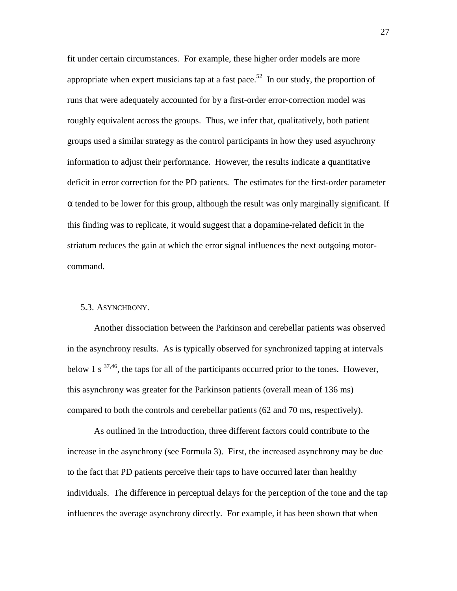fit under certain circumstances. For example, these higher order models are more appropriate when expert musicians tap at a fast pace.<sup>52</sup> In our study, the proportion of runs that were adequately accounted for by a first-order error-correction model was roughly equivalent across the groups. Thus, we infer that, qualitatively, both patient groups used a similar strategy as the control participants in how they used asynchrony information to adjust their performance. However, the results indicate a quantitative deficit in error correction for the PD patients. The estimates for the first-order parameter  $\alpha$  tended to be lower for this group, although the result was only marginally significant. If this finding was to replicate, it would suggest that a dopamine-related deficit in the striatum reduces the gain at which the error signal influences the next outgoing motorcommand.

# 5.3. ASYNCHRONY.

Another dissociation between the Parkinson and cerebellar patients was observed in the asynchrony results. As is typically observed for synchronized tapping at intervals below 1 s  $^{37,46}$ , the taps for all of the participants occurred prior to the tones. However, this asynchrony was greater for the Parkinson patients (overall mean of 136 ms) compared to both the controls and cerebellar patients (62 and 70 ms, respectively).

As outlined in the Introduction, three different factors could contribute to the increase in the asynchrony (see Formula 3). First, the increased asynchrony may be due to the fact that PD patients perceive their taps to have occurred later than healthy individuals. The difference in perceptual delays for the perception of the tone and the tap influences the average asynchrony directly. For example, it has been shown that when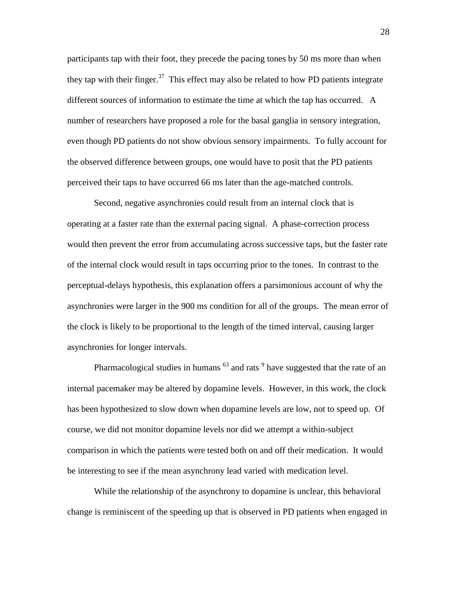participants tap with their foot, they precede the pacing tones by 50 ms more than when they tap with their finger.<sup>37</sup> This effect may also be related to how PD patients integrate different sources of information to estimate the time at which the tap has occurred. A number of researchers have proposed a role for the basal ganglia in sensory integration, even though PD patients do not show obvious sensory impairments. To fully account for the observed difference between groups, one would have to posit that the PD patients perceived their taps to have occurred 66 ms later than the age-matched controls.

Second, negative asynchronies could result from an internal clock that is operating at a faster rate than the external pacing signal. A phase-correction process would then prevent the error from accumulating across successive taps, but the faster rate of the internal clock would result in taps occurring prior to the tones. In contrast to the perceptual-delays hypothesis, this explanation offers a parsimonious account of why the asynchronies were larger in the 900 ms condition for all of the groups. The mean error of the clock is likely to be proportional to the length of the timed interval, causing larger asynchronies for longer intervals.

Pharmacological studies in humans <sup>63</sup> and rats <sup>9</sup> have suggested that the rate of an internal pacemaker may be altered by dopamine levels. However, in this work, the clock has been hypothesized to slow down when dopamine levels are low, not to speed up. Of course, we did not monitor dopamine levels nor did we attempt a within-subject comparison in which the patients were tested both on and off their medication. It would be interesting to see if the mean asynchrony lead varied with medication level.

While the relationship of the asynchrony to dopamine is unclear, this behavioral change is reminiscent of the speeding up that is observed in PD patients when engaged in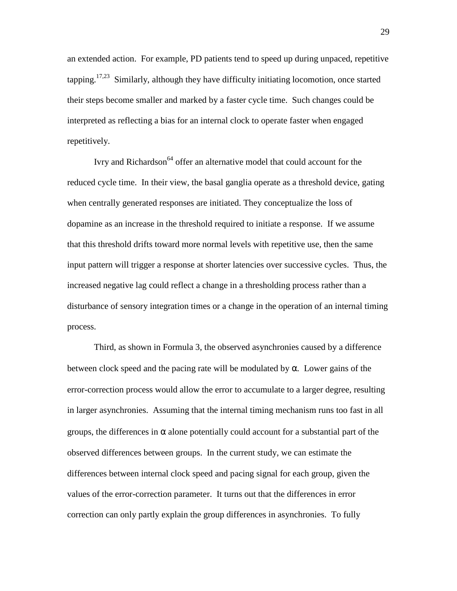an extended action. For example, PD patients tend to speed up during unpaced, repetitive tapping.<sup>17,23</sup> Similarly, although they have difficulty initiating locomotion, once started their steps become smaller and marked by a faster cycle time. Such changes could be interpreted as reflecting a bias for an internal clock to operate faster when engaged repetitively.

Ivry and Richardson<sup>64</sup> offer an alternative model that could account for the reduced cycle time. In their view, the basal ganglia operate as a threshold device, gating when centrally generated responses are initiated. They conceptualize the loss of dopamine as an increase in the threshold required to initiate a response. If we assume that this threshold drifts toward more normal levels with repetitive use, then the same input pattern will trigger a response at shorter latencies over successive cycles. Thus, the increased negative lag could reflect a change in a thresholding process rather than a disturbance of sensory integration times or a change in the operation of an internal timing process.

Third, as shown in Formula 3, the observed asynchronies caused by a difference between clock speed and the pacing rate will be modulated by  $\alpha$ . Lower gains of the error-correction process would allow the error to accumulate to a larger degree, resulting in larger asynchronies. Assuming that the internal timing mechanism runs too fast in all groups, the differences in  $\alpha$  alone potentially could account for a substantial part of the observed differences between groups. In the current study, we can estimate the differences between internal clock speed and pacing signal for each group, given the values of the error-correction parameter. It turns out that the differences in error correction can only partly explain the group differences in asynchronies. To fully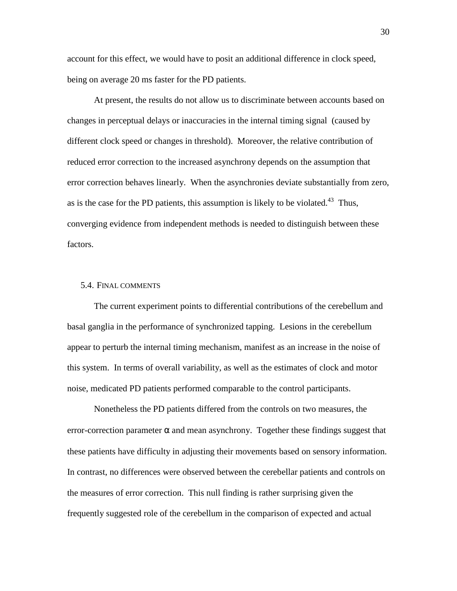account for this effect, we would have to posit an additional difference in clock speed, being on average 20 ms faster for the PD patients.

At present, the results do not allow us to discriminate between accounts based on changes in perceptual delays or inaccuracies in the internal timing signal (caused by different clock speed or changes in threshold). Moreover, the relative contribution of reduced error correction to the increased asynchrony depends on the assumption that error correction behaves linearly. When the asynchronies deviate substantially from zero, as is the case for the PD patients, this assumption is likely to be violated.<sup>43</sup> Thus, converging evidence from independent methods is needed to distinguish between these factors.

# 5.4. FINAL COMMENTS

The current experiment points to differential contributions of the cerebellum and basal ganglia in the performance of synchronized tapping. Lesions in the cerebellum appear to perturb the internal timing mechanism, manifest as an increase in the noise of this system. In terms of overall variability, as well as the estimates of clock and motor noise, medicated PD patients performed comparable to the control participants.

Nonetheless the PD patients differed from the controls on two measures, the error-correction parameter  $\alpha$  and mean asynchrony. Together these findings suggest that these patients have difficulty in adjusting their movements based on sensory information. In contrast, no differences were observed between the cerebellar patients and controls on the measures of error correction. This null finding is rather surprising given the frequently suggested role of the cerebellum in the comparison of expected and actual

30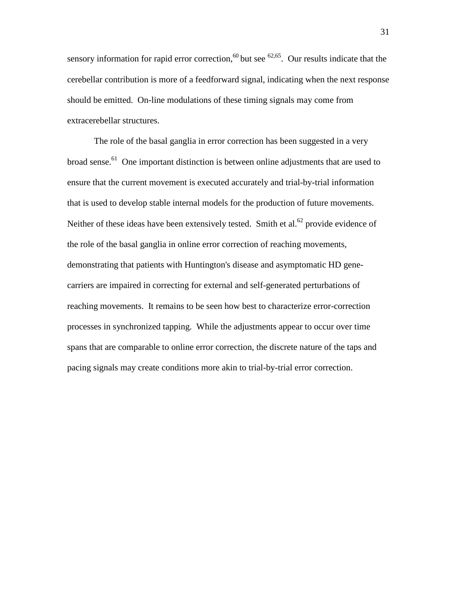sensory information for rapid error correction,<sup>60</sup> but see  $62,65$ . Our results indicate that the cerebellar contribution is more of a feedforward signal, indicating when the next response should be emitted. On-line modulations of these timing signals may come from extracerebellar structures.

The role of the basal ganglia in error correction has been suggested in a very broad sense.<sup>61</sup> One important distinction is between online adjustments that are used to ensure that the current movement is executed accurately and trial-by-trial information that is used to develop stable internal models for the production of future movements. Neither of these ideas have been extensively tested. Smith et al.<sup>62</sup> provide evidence of the role of the basal ganglia in online error correction of reaching movements, demonstrating that patients with Huntington's disease and asymptomatic HD genecarriers are impaired in correcting for external and self-generated perturbations of reaching movements. It remains to be seen how best to characterize error-correction processes in synchronized tapping. While the adjustments appear to occur over time spans that are comparable to online error correction, the discrete nature of the taps and pacing signals may create conditions more akin to trial-by-trial error correction.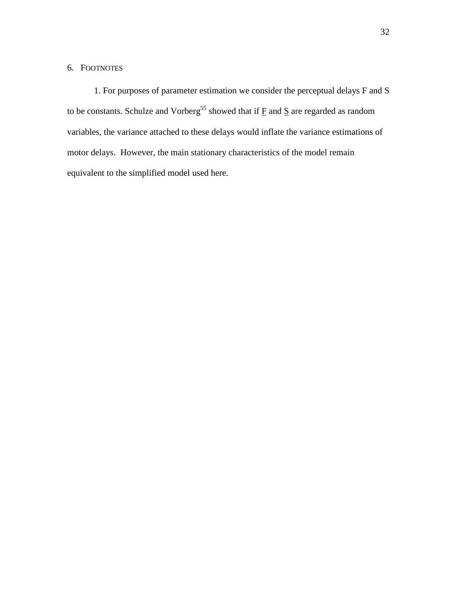# 6. FOOTNOTES

1. For purposes of parameter estimation we consider the perceptual delays F and S to be constants. Schulze and Vorberg $^{55}$  showed that if  $\underline{\mathrm{F}}$  and  $\underline{\mathrm{S}}$  are regarded as random variables, the variance attached to these delays would inflate the variance estimations of motor delays. However, the main stationary characteristics of the model remain equivalent to the simplified model used here.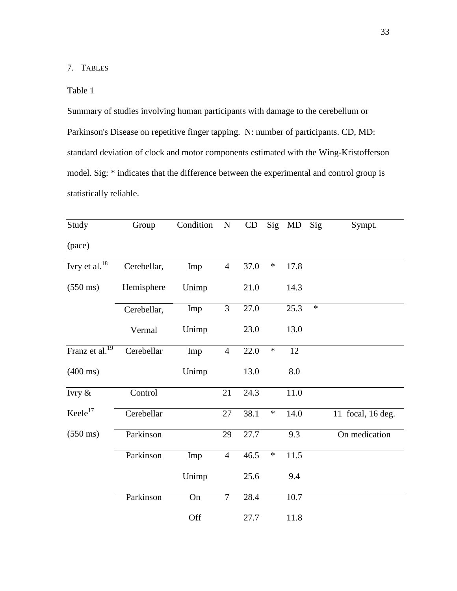# Table 1

Summary of studies involving human participants with damage to the cerebellum or Parkinson's Disease on repetitive finger tapping. N: number of participants. CD, MD: standard deviation of clock and motor components estimated with the Wing-Kristofferson model. Sig: \* indicates that the difference between the experimental and control group is statistically reliable.

| Study                      | Group       | Condition | ${\bf N}$      | CD   | Sig    | MD                 | Sig    | Sympt.            |
|----------------------------|-------------|-----------|----------------|------|--------|--------------------|--------|-------------------|
| (pace)                     |             |           |                |      |        |                    |        |                   |
| Ivry et al. $^{18}$        | Cerebellar, | Imp       | $\overline{4}$ | 37.0 | $\ast$ | 17.8               |        |                   |
| $(550 \text{ ms})$         | Hemisphere  | Unimp     |                | 21.0 |        | 14.3               |        |                   |
|                            | Cerebellar, | Imp       | 3              | 27.0 |        | 25.3               | $\ast$ |                   |
|                            | Vermal      | Unimp     |                | 23.0 |        | 13.0               |        |                   |
| Franz et al. <sup>19</sup> | Cerebellar  | Imp       | $\overline{4}$ | 22.0 | $\ast$ | 12                 |        |                   |
| $(400 \text{ ms})$         |             | Unimp     |                | 13.0 |        | $\boldsymbol{8.0}$ |        |                   |
| Ivry &                     | Control     |           | 21             | 24.3 |        | 11.0               |        |                   |
| Keele <sup>17</sup>        | Cerebellar  |           | 27             | 38.1 | $\ast$ | 14.0               |        | 11 focal, 16 deg. |
| $(550 \text{ ms})$         | Parkinson   |           | 29             | 27.7 |        | 9.3                |        | On medication     |
|                            | Parkinson   | Imp       | $\overline{4}$ | 46.5 | $\ast$ | 11.5               |        |                   |
|                            |             | Unimp     |                | 25.6 |        | 9.4                |        |                   |
|                            | Parkinson   | On        | $\overline{7}$ | 28.4 |        | 10.7               |        |                   |
|                            |             | Off       |                | 27.7 |        | 11.8               |        |                   |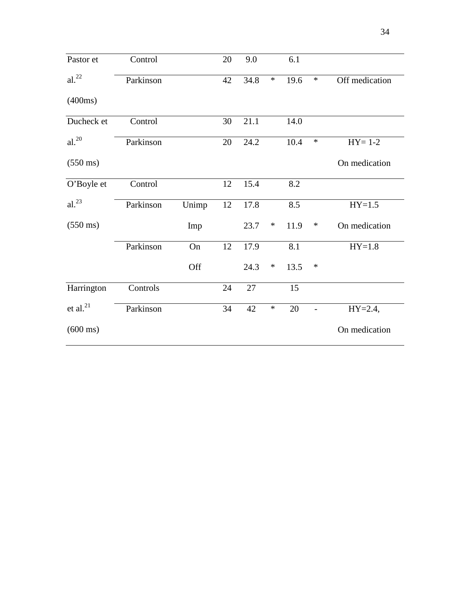| Pastor et          | Control   |       | 20 | 9.0  |        | 6.1  |                |                |
|--------------------|-----------|-------|----|------|--------|------|----------------|----------------|
|                    |           |       |    |      |        |      |                |                |
| al. <sup>22</sup>  | Parkinson |       | 42 | 34.8 | $\ast$ | 19.6 | $\ast$         | Off medication |
| (400ms)            |           |       |    |      |        |      |                |                |
| Ducheck et         | Control   |       | 30 | 21.1 |        | 14.0 |                |                |
| al. <sup>20</sup>  | Parkinson |       | 20 | 24.2 |        | 10.4 | $\ast$         | $HY=1-2$       |
| $(550 \text{ ms})$ |           |       |    |      |        |      |                | On medication  |
| O'Boyle et         | Control   |       | 12 | 15.4 |        | 8.2  |                |                |
| al. <sup>23</sup>  | Parkinson | Unimp | 12 | 17.8 |        | 8.5  |                | $HY=1.5$       |
| $(550 \text{ ms})$ |           | Imp   |    | 23.7 | $\ast$ | 11.9 | $\ast$         | On medication  |
|                    | Parkinson | On    | 12 | 17.9 |        | 8.1  |                | $HY=1.8$       |
|                    |           | Off   |    | 24.3 | $\ast$ | 13.5 | $\ast$         |                |
| Harrington         | Controls  |       | 24 | 27   |        | 15   |                |                |
| et al. $^{21}$     | Parkinson |       | 34 | 42   | $\ast$ | 20   | $\overline{a}$ | $HY=2.4,$      |
| $(600 \text{ ms})$ |           |       |    |      |        |      |                | On medication  |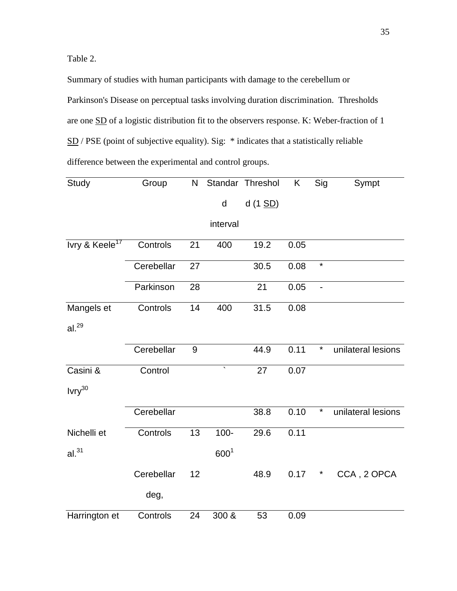Table 2.

Summary of studies with human participants with damage to the cerebellum or Parkinson's Disease on perceptual tasks involving duration discrimination. Thresholds are one SD of a logistic distribution fit to the observers response. K: Weber-fraction of 1 SD / PSE (point of subjective equality). Sig: \* indicates that a statistically reliable difference between the experimental and control groups.

| <b>Study</b>               | Group      | $\mathsf{N}$ |                  | Standar Threshol | Κ    | Sig                          | Sympt              |
|----------------------------|------------|--------------|------------------|------------------|------|------------------------------|--------------------|
|                            |            |              | d                | d (1 SD)         |      |                              |                    |
|                            |            |              | interval         |                  |      |                              |                    |
| Ivry & Keele <sup>17</sup> | Controls   | 21           | 400              | 19.2             | 0.05 |                              |                    |
|                            | Cerebellar | 27           |                  | 30.5             | 0.08 | $\star$                      |                    |
|                            | Parkinson  | 28           |                  | 21               | 0.05 | $\qquad \qquad \blacksquare$ |                    |
| Mangels et                 | Controls   | 14           | 400              | 31.5             | 0.08 |                              |                    |
| al. <sup>29</sup>          |            |              |                  |                  |      |                              |                    |
|                            | Cerebellar | 9            |                  | 44.9             | 0.11 | $\star$                      | unilateral lesions |
| Casini &                   | Control    |              | $\cdot$          | 27               | 0.07 |                              |                    |
| lvry <sup>30</sup>         |            |              |                  |                  |      |                              |                    |
|                            | Cerebellar |              |                  | 38.8             | 0.10 | $\star$                      | unilateral lesions |
| Nichelli et                | Controls   | 13           | $100 -$          | 29.6             | 0.11 |                              |                    |
| al. <sup>31</sup>          |            |              | 600 <sup>1</sup> |                  |      |                              |                    |
|                            | Cerebellar | 12           |                  | 48.9             | 0.17 | $\star$                      | CCA, 2 OPCA        |
|                            | deg,       |              |                  |                  |      |                              |                    |
| Harrington et              | Controls   | 24           | 300 &            | 53               | 0.09 |                              |                    |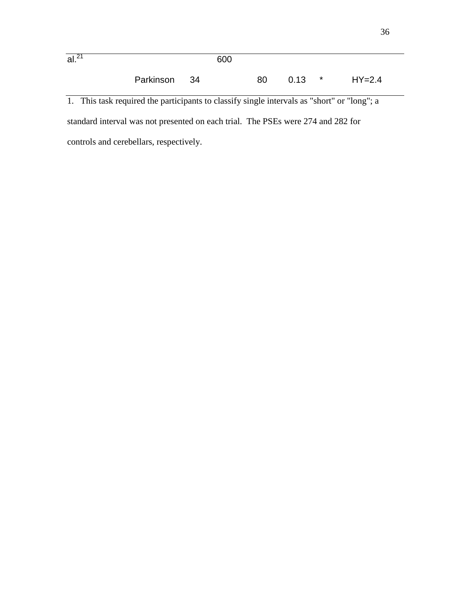| al. <sup>21</sup> |              | 600 |    |      |                         |          |
|-------------------|--------------|-----|----|------|-------------------------|----------|
|                   | Parkinson 34 |     | 80 | 0.13 | $\lambda$ and $\lambda$ | $HY=2.4$ |

1. This task required the participants to classify single intervals as "short" or "long"; a standard interval was not presented on each trial. The PSEs were 274 and 282 for controls and cerebellars, respectively.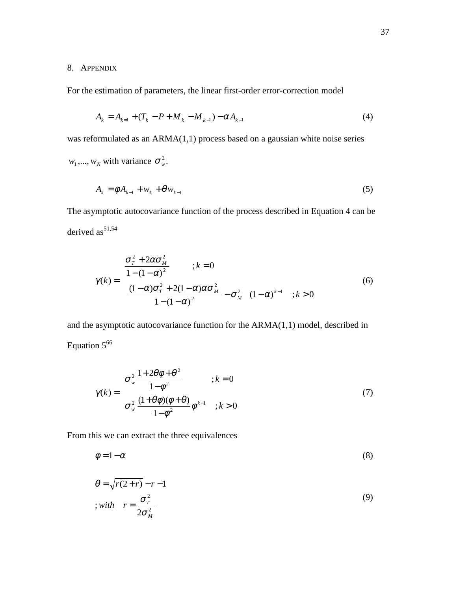# 8. APPENDIX

For the estimation of parameters, the linear first-order error-correction model

$$
A_k = A_{k-1} + (T_k - P + M_k - M_{k-1}) - \alpha A_{k-1}
$$
\n<sup>(4)</sup>

was reformulated as an ARMA(1,1) process based on a gaussian white noise series

 $w_1$ ,...,  $w_N$  with variance  $\sigma_w^2$ .

$$
A_k = \phi A_{k-1} + w_k + \theta w_{k-1} \tag{5}
$$

The asymptotic autocovariance function of the process described in Equation 4 can be derived as 51,54

$$
\gamma(k) = \begin{cases} \frac{\sigma_r^2 + 2\alpha \sigma_M^2}{1 - (1 - \alpha)^2} & ; k = 0\\ \left[ \frac{(1 - \alpha)\sigma_r^2 + 2(1 - \alpha)\alpha \sigma_M^2}{1 - (1 - \alpha)^2} - \sigma_M^2 \right] (1 - \alpha)^{k - 1} & ; k > 0 \end{cases}
$$
(6)

and the asymptotic autocovariance function for the ARMA(1,1) model, described in Equation  $5^{66}$ 

$$
\gamma(k) = \begin{cases}\n\sigma_w^2 \frac{1 + 2\theta\phi + \theta^2}{1 - \phi^2} & ; k = 0 \\
\sigma_w^2 \frac{(1 + \theta\phi)(\phi + \theta)}{1 - \phi^2} \phi^{k-1} & ; k > 0\n\end{cases} \tag{7}
$$

From this we can extract the three equivalences

$$
\phi = 1 - \alpha \tag{8}
$$

$$
\theta = \sqrt{r(2+r)} - r - 1
$$
  
\n
$$
\therefore \text{ with } r = \frac{\sigma_r^2}{2\sigma_M^2}
$$
 (9)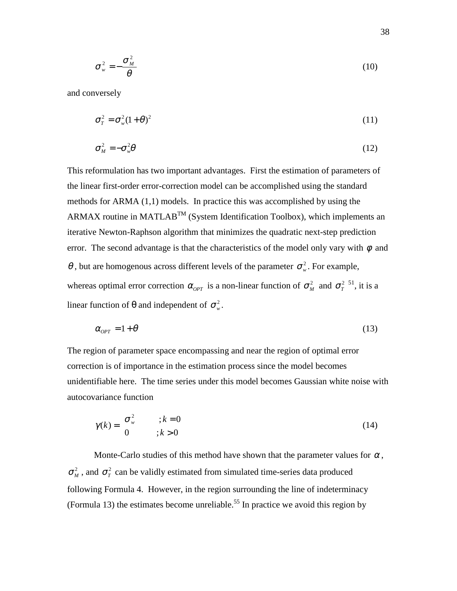$$
\sigma_w^2 = -\frac{\sigma_M^2}{\theta} \tag{10}
$$

and conversely

$$
\sigma_T^2 = \sigma_w^2 (1 + \theta)^2 \tag{11}
$$

$$
\sigma_M^2 = -\sigma_w^2 \theta \tag{12}
$$

This reformulation has two important advantages. First the estimation of parameters of the linear first-order error-correction model can be accomplished using the standard methods for ARMA (1,1) models. In practice this was accomplished by using the  $ARMAX$  routine in MATLAB<sup>TM</sup> (System Identification Toolbox), which implements an iterative Newton-Raphson algorithm that minimizes the quadratic next-step prediction error. The second advantage is that the characteristics of the model only vary with  $\phi$  and  $\theta$ , but are homogenous across different levels of the parameter  $\sigma_w^2$ . For example, whereas optimal error correction  $\alpha_{OPT}$  is a non-linear function of  $\sigma_M^2$  and  $\sigma_T^{2.51}$ , it is a linear function of  $\theta$  and independent of  $\sigma_w^2$ .

$$
\alpha_{OPT} = 1 + \theta \tag{13}
$$

The region of parameter space encompassing and near the region of optimal error correction is of importance in the estimation process since the model becomes unidentifiable here. The time series under this model becomes Gaussian white noise with autocovariance function

$$
\gamma(k) = \begin{cases} \sigma_w^2 & ; k = 0 \\ 0 & ; k > 0 \end{cases} \tag{14}
$$

Monte-Carlo studies of this method have shown that the parameter values for  $\alpha$ ,  $\sigma_M^2$ , and  $\sigma_T^2$  can be validly estimated from simulated time-series data produced following Formula 4. However, in the region surrounding the line of indeterminacy (Formula 13) the estimates become unreliable. <sup>55</sup> In practice we avoid this region by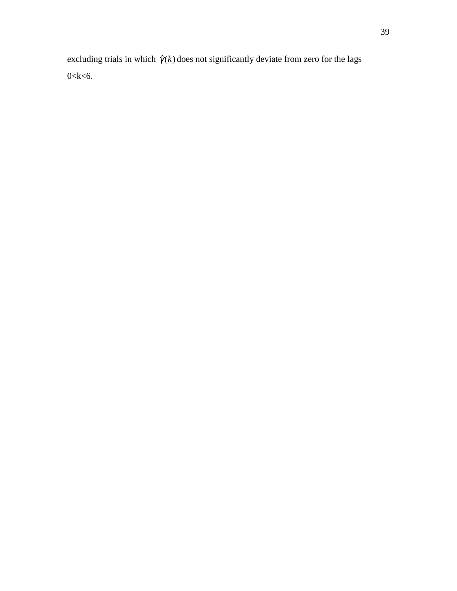excluding trials in which  $\hat{\gamma}(k)$  does not significantly deviate from zero for the lags  $0 < k < 6$ .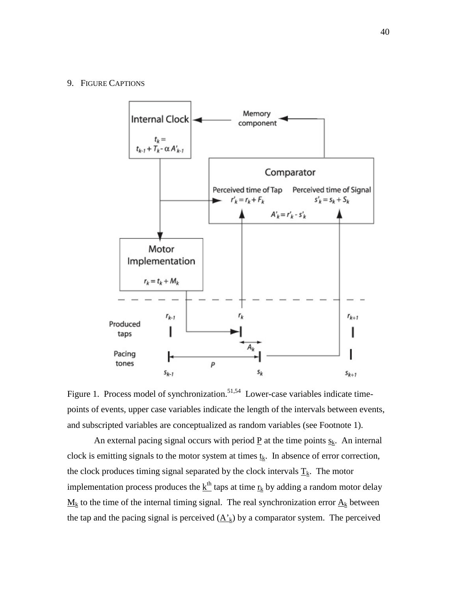## 9. FIGURE CAPTIONS



Figure 1. Process model of synchronization.<sup>51,54</sup> Lower-case variables indicate timepoints of events, upper case variables indicate the length of the intervals between events, and subscripted variables are conceptualized as random variables (see Footnote 1).

An external pacing signal occurs with period  $\underline{P}$  at the time points  $\underline{s_k}$ . An internal clock is emitting signals to the motor system at times  $\underline{t}_k$ . In absence of error correction, the clock produces timing signal separated by the clock intervals  $\underline{T_k}$ . The motor implementation process produces the  $\underline{k}^{\text{th}}$  taps at time  $\underline{r}_k$  by adding a random motor delay  $\underline{M}_k$  to the time of the internal timing signal. The real synchronization error  $\underline{A}_k$  between the tap and the pacing signal is perceived  $(\underline{A}^{\prime}_{k})$  by a comparator system. The perceived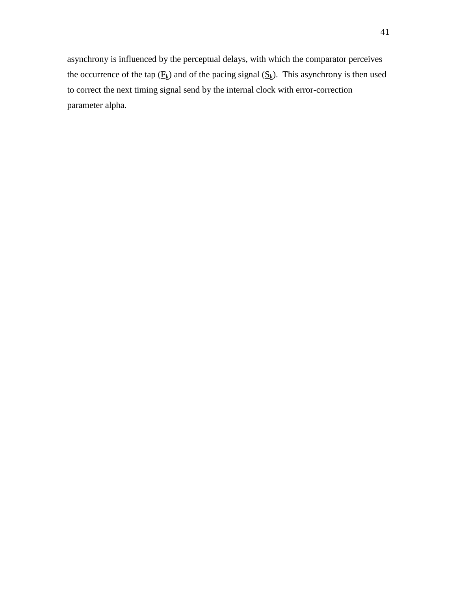asynchrony is influenced by the perceptual delays, with which the comparator perceives the occurrence of the tap  $(E_k)$  and of the pacing signal  $(S_k)$ . This asynchrony is then used to correct the next timing signal send by the internal clock with error-correction parameter alpha.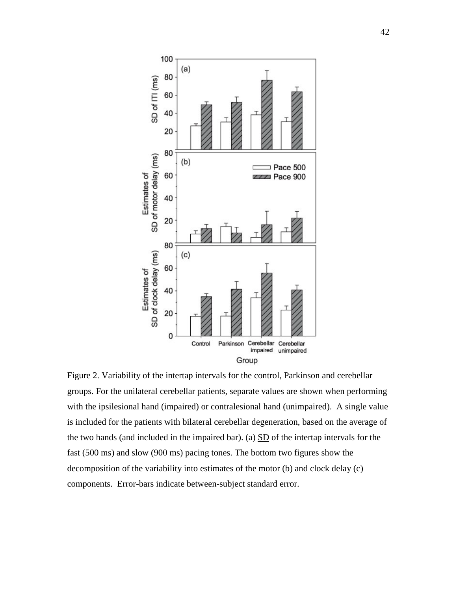

Figure 2. Variability of the intertap intervals for the control, Parkinson and cerebellar groups. For the unilateral cerebellar patients, separate values are shown when performing with the ipsilesional hand (impaired) or contralesional hand (unimpaired). A single value is included for the patients with bilateral cerebellar degeneration, based on the average of the two hands (and included in the impaired bar). (a)  $SD$  of the intertap intervals for the fast (500 ms) and slow (900 ms) pacing tones. The bottom two figures show the decomposition of the variability into estimates of the motor (b) and clock delay (c) components. Error-bars indicate between-subject standard error.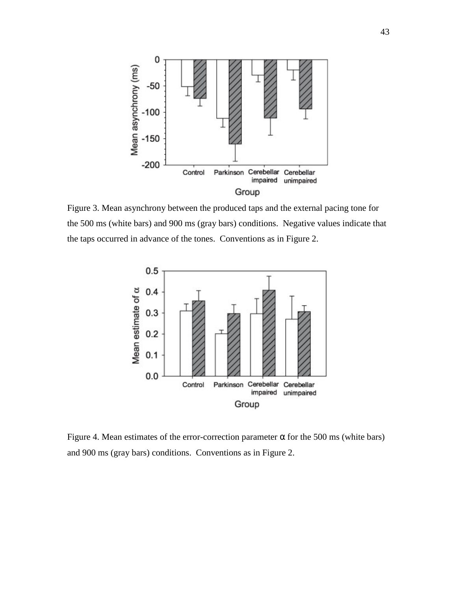

Figure 3. Mean asynchrony between the produced taps and the external pacing tone for the 500 ms (white bars) and 900 ms (gray bars) conditions. Negative values indicate that the taps occurred in advance of the tones. Conventions as in Figure 2.



Figure 4. Mean estimates of the error-correction parameter  $\alpha$  for the 500 ms (white bars) and 900 ms (gray bars) conditions. Conventions as in Figure 2.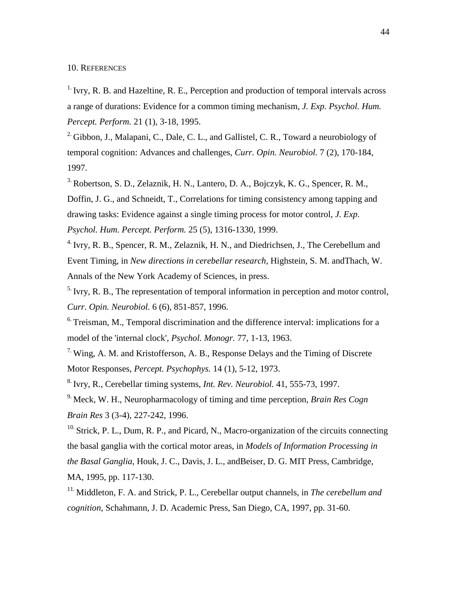10. REFERENCES

 $<sup>1</sup>$  Ivrv, R. B. and Hazeltine, R. E., Perception and production of temporal intervals across</sup> a range of durations: Evidence for a common timing mechanism, *J. Exp. Psychol. Hum. Percept. Perform.* 21 (1), 3-18, 1995.

<sup>2</sup> Gibbon, J., Malapani, C., Dale, C. L., and Gallistel, C. R., Toward a neurobiology of temporal cognition: Advances and challenges, *Curr. Opin. Neurobiol.* 7 (2), 170-184, 1997.

 $3.$  Robertson, S. D., Zelaznik, H. N., Lantero, D. A., Bojczyk, K. G., Spencer, R. M.,

Doffin, J. G., and Schneidt, T., Correlations for timing consistency among tapping and drawing tasks: Evidence against a single timing process for motor control, *J. Exp. Psychol. Hum. Percept. Perform.* 25 (5), 1316-1330, 1999.

<sup>4.</sup> Ivry, R. B., Spencer, R. M., Zelaznik, H. N., and Diedrichsen, J., The Cerebellum and Event Timing, in *New directions in cerebellar research*, Highstein, S. M. andThach, W. Annals of the New York Academy of Sciences, in press.

 $<sup>5</sup>$  Ivry, R. B., The representation of temporal information in perception and motor control,</sup> *Curr. Opin. Neurobiol.* 6 (6), 851-857, 1996.

 $6.$  Treisman, M., Temporal discrimination and the difference interval: implications for a model of the 'internal clock', *Psychol. Monogr.* 77, 1-13, 1963.

<sup>7.</sup> Wing, A. M. and Kristofferson, A. B., Response Delays and the Timing of Discrete Motor Responses, *Percept. Psychophys.* 14 (1), 5-12, 1973.

8. Ivry, R., Cerebellar timing systems, *Int. Rev. Neurobiol.* 41, 555-73, 1997.

9. Meck, W. H., Neuropharmacology of timing and time perception, *Brain Res Cogn Brain Res* 3 (3-4), 227-242, 1996.

 $10.$  Strick, P. L., Dum, R. P., and Picard, N., Macro-organization of the circuits connecting the basal ganglia with the cortical motor areas, in *Models of Information Processing in the Basal Ganglia*, Houk, J. C., Davis, J. L., andBeiser, D. G. MIT Press, Cambridge, MA, 1995, pp. 117-130.

11. Middleton, F. A. and Strick, P. L., Cerebellar output channels, in *The cerebellum and cognition*, Schahmann, J. D. Academic Press, San Diego, CA, 1997, pp. 31-60.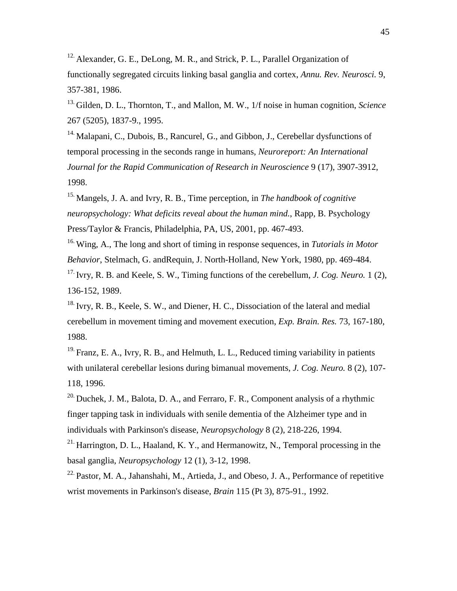$12$ . Alexander, G. E., DeLong, M. R., and Strick, P. L., Parallel Organization of functionally segregated circuits linking basal ganglia and cortex, *Annu. Rev. Neurosci.* 9, 357-381, 1986.

13. Gilden, D. L., Thornton, T., and Mallon, M. W., 1/f noise in human cognition, *Science* 267 (5205), 1837-9., 1995.

<sup>14.</sup> Malapani, C., Dubois, B., Rancurel, G., and Gibbon, J., Cerebellar dysfunctions of temporal processing in the seconds range in humans, *Neuroreport: An International Journal for the Rapid Communication of Research in Neuroscience* 9 (17), 3907-3912, 1998.

15. Mangels, J. A. and Ivry, R. B., Time perception, in *The handbook of cognitive neuropsychology: What deficits reveal about the human mind.*, Rapp, B. Psychology Press/Taylor & Francis, Philadelphia, PA, US, 2001, pp. 467-493.

16. Wing, A., The long and short of timing in response sequences, in *Tutorials in Motor Behavior*, Stelmach, G. andRequin, J. North-Holland, New York, 1980, pp. 469-484.

17. Ivry, R. B. and Keele, S. W., Timing functions of the cerebellum, *J. Cog. Neuro.* 1 (2), 136-152, 1989.

<sup>18.</sup> Ivry, R. B., Keele, S. W., and Diener, H. C., Dissociation of the lateral and medial cerebellum in movement timing and movement execution, *Exp. Brain. Res.* 73, 167-180, 1988.

 $19.$  Franz, E. A., Ivry, R. B., and Helmuth, L. L., Reduced timing variability in patients with unilateral cerebellar lesions during bimanual movements, *J. Cog. Neuro.* 8 (2), 107- 118, 1996.

 $20.$  Duchek, J. M., Balota, D. A., and Ferraro, F. R., Component analysis of a rhythmic finger tapping task in individuals with senile dementia of the Alzheimer type and in individuals with Parkinson's disease, *Neuropsychology* 8 (2), 218-226, 1994.

 $21$ . Harrington, D. L., Haaland, K. Y., and Hermanowitz, N., Temporal processing in the basal ganglia, *Neuropsychology* 12 (1), 3-12, 1998.

 $22.$  Pastor, M. A., Jahanshahi, M., Artieda, J., and Obeso, J. A., Performance of repetitive wrist movements in Parkinson's disease, *Brain* 115 (Pt 3), 875-91., 1992.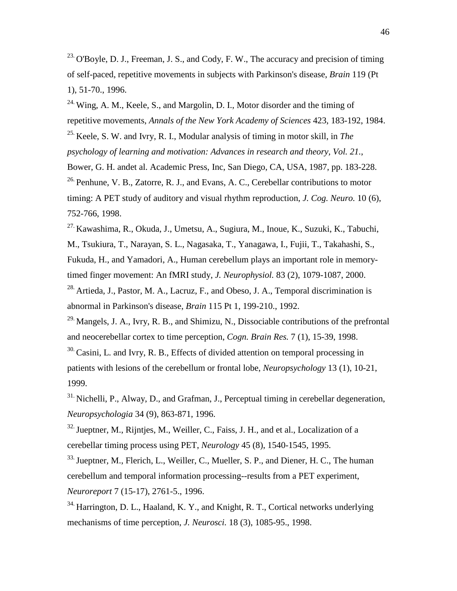<sup>23.</sup> O'Boyle, D. J., Freeman, J. S., and Cody, F. W., The accuracy and precision of timing of self-paced, repetitive movements in subjects with Parkinson's disease, *Brain* 119 (Pt 1), 51-70., 1996.

 $24$ . Wing, A. M., Keele, S., and Margolin, D. I., Motor disorder and the timing of repetitive movements, *Annals of the New York Academy of Sciences* 423, 183-192, 1984.

25. Keele, S. W. and Ivry, R. I., Modular analysis of timing in motor skill, in *The psychology of learning and motivation: Advances in research and theory, Vol. 21.*,

Bower, G. H. andet al. Academic Press, Inc, San Diego, CA, USA, 1987, pp. 183-228.

 $26.$  Penhune, V. B., Zatorre, R. J., and Evans, A. C., Cerebellar contributions to motor timing: A PET study of auditory and visual rhythm reproduction, *J. Cog. Neuro.* 10 (6), 752-766, 1998.

 $27$  Kawashima, R., Okuda, J., Umetsu, A., Sugiura, M., Inoue, K., Suzuki, K., Tabuchi, M., Tsukiura, T., Narayan, S. L., Nagasaka, T., Yanagawa, I., Fujii, T., Takahashi, S., Fukuda, H., and Yamadori, A., Human cerebellum plays an important role in memorytimed finger movement: An fMRI study, *J. Neurophysiol.* 83 (2), 1079-1087, 2000.

 $28.$  Artieda, J., Pastor, M. A., Lacruz, F., and Obeso, J. A., Temporal discrimination is abnormal in Parkinson's disease, *Brain* 115 Pt 1, 199-210., 1992.

 $29.$  Mangels, J. A., Ivry, R. B., and Shimizu, N., Dissociable contributions of the prefrontal and neocerebellar cortex to time perception, *Cogn. Brain Res.* 7 (1), 15-39, 1998.

<sup>30.</sup> Casini, L. and Ivry, R. B., Effects of divided attention on temporal processing in patients with lesions of the cerebellum or frontal lobe, *Neuropsychology* 13 (1), 10-21, 1999.

31. Nichelli, P., Alway, D., and Grafman, J., Perceptual timing in cerebellar degeneration, *Neuropsychologia* 34 (9), 863-871, 1996.

<sup>32.</sup> Jueptner, M., Rijntjes, M., Weiller, C., Faiss, J. H., and et al., Localization of a cerebellar timing process using PET, *Neurology* 45 (8), 1540-1545, 1995.

<sup>33.</sup> Jueptner, M., Flerich, L., Weiller, C., Mueller, S. P., and Diener, H. C., The human cerebellum and temporal information processing--results from a PET experiment, *Neuroreport* 7 (15-17), 2761-5., 1996.

<sup>34.</sup> Harrington, D. L., Haaland, K. Y., and Knight, R. T., Cortical networks underlying mechanisms of time perception, *J. Neurosci.* 18 (3), 1085-95., 1998.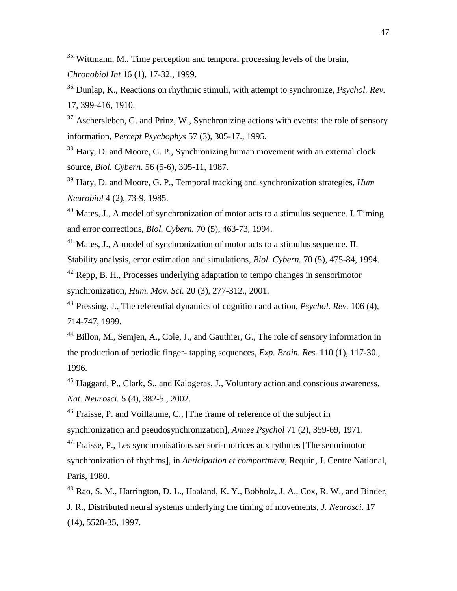<sup>35.</sup> Wittmann, M., Time perception and temporal processing levels of the brain, *Chronobiol Int* 16 (1), 17-32., 1999.

36. Dunlap, K., Reactions on rhythmic stimuli, with attempt to synchronize, *Psychol. Rev.* 17, 399-416, 1910.

 $37.$  Aschersleben, G. and Prinz, W., Synchronizing actions with events: the role of sensory information, *Percept Psychophys* 57 (3), 305-17., 1995.

 $38.$  Hary, D. and Moore, G. P., Synchronizing human movement with an external clock source, *Biol. Cybern.* 56 (5-6), 305-11, 1987.

39. Hary, D. and Moore, G. P., Temporal tracking and synchronization strategies, *Hum Neurobiol* 4 (2), 73-9, 1985.

 $40.$  Mates, J., A model of synchronization of motor acts to a stimulus sequence. I. Timing and error corrections, *Biol. Cybern.* 70 (5), 463-73, 1994.

<sup>41.</sup> Mates, J., A model of synchronization of motor acts to a stimulus sequence. II. Stability analysis, error estimation and simulations, *Biol. Cybern.* 70 (5), 475-84, 1994.

 $42$ <sup>2</sup>. Repp, B. H., Processes underlying adaptation to tempo changes in sensorimotor synchronization, *Hum. Mov. Sci.* 20 (3), 277-312., 2001.

43. Pressing, J., The referential dynamics of cognition and action, *Psychol. Rev.* 106 (4), 714-747, 1999.

 $44$ . Billon, M., Semjen, A., Cole, J., and Gauthier, G., The role of sensory information in the production of periodic finger- tapping sequences, *Exp. Brain. Res.* 110 (1), 117-30., 1996.

45. Haggard, P., Clark, S., and Kalogeras, J., Voluntary action and conscious awareness, *Nat. Neurosci.* 5 (4), 382-5., 2002.

<sup>46.</sup> Fraisse, P. and Voillaume, C., [The frame of reference of the subject in synchronization and pseudosynchronization], *Annee Psychol* 71 (2), 359-69, 1971.

47. Fraisse, P., Les synchronisations sensori-motrices aux rythmes [The senorimotor synchronization of rhythms], in *Anticipation et comportment*, Requin, J. Centre National, Paris, 1980.

 $^{48}$  Rao, S. M., Harrington, D. L., Haaland, K. Y., Bobholz, J. A., Cox, R. W., and Binder, J. R., Distributed neural systems underlying the timing of movements, *J. Neurosci.* 17 (14), 5528-35, 1997.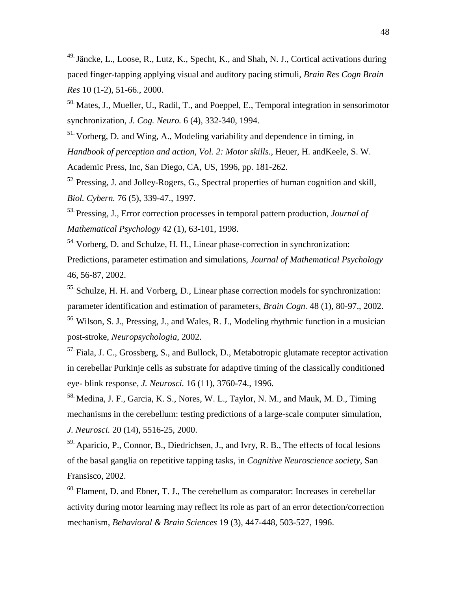$49.$  Jäncke, L., Loose, R., Lutz, K., Specht, K., and Shah, N. J., Cortical activations during paced finger-tapping applying visual and auditory pacing stimuli, *Brain Res Cogn Brain Res* 10 (1-2), 51-66., 2000.

<sup>50.</sup> Mates, J., Mueller, U., Radil, T., and Poeppel, E., Temporal integration in sensorimotor synchronization, *J. Cog. Neuro.* 6 (4), 332-340, 1994.

51. Vorberg, D. and Wing, A., Modeling variability and dependence in timing, in *Handbook of perception and action, Vol. 2: Motor skills.*, Heuer, H. andKeele, S. W. Academic Press, Inc, San Diego, CA, US, 1996, pp. 181-262.

<sup>52.</sup> Pressing, J. and Jolley-Rogers, G., Spectral properties of human cognition and skill, *Biol. Cybern.* 76 (5), 339-47., 1997.

53. Pressing, J., Error correction processes in temporal pattern production, *Journal of Mathematical Psychology* 42 (1), 63-101, 1998.

54. Vorberg, D. and Schulze, H. H., Linear phase-correction in synchronization: Predictions, parameter estimation and simulations, *Journal of Mathematical Psychology* 46, 56-87, 2002.

<sup>55.</sup> Schulze, H. H. and Vorberg, D., Linear phase correction models for synchronization: parameter identification and estimation of parameters, *Brain Cogn.* 48 (1), 80-97., 2002. 56. Wilson, S. J., Pressing, J., and Wales, R. J., Modeling rhythmic function in a musician

post-stroke, *Neuropsychologia*, 2002.

57. Fiala, J. C., Grossberg, S., and Bullock, D., Metabotropic glutamate receptor activation in cerebellar Purkinje cells as substrate for adaptive timing of the classically conditioned eye- blink response, *J. Neurosci.* 16 (11), 3760-74., 1996.

58. Medina, J. F., Garcia, K. S., Nores, W. L., Taylor, N. M., and Mauk, M. D., Timing mechanisms in the cerebellum: testing predictions of a large-scale computer simulation, *J. Neurosci.* 20 (14), 5516-25, 2000.

59. Aparicio, P., Connor, B., Diedrichsen, J., and Ivry, R. B., The effects of focal lesions of the basal ganglia on repetitive tapping tasks, in *Cognitive Neuroscience society*, San Fransisco, 2002.

 $60.$  Flament, D. and Ebner, T. J., The cerebellum as comparator: Increases in cerebellar activity during motor learning may reflect its role as part of an error detection/correction mechanism, *Behavioral & Brain Sciences* 19 (3), 447-448, 503-527, 1996.